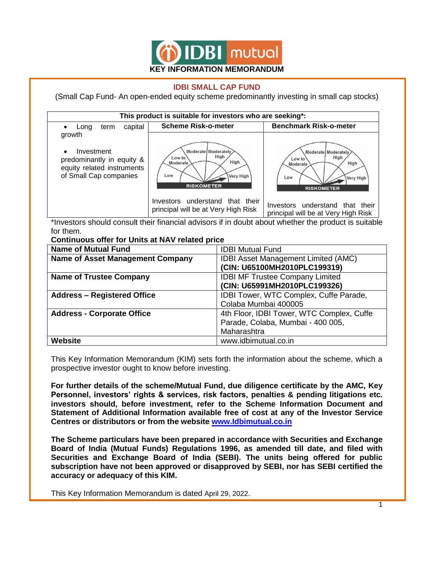

#### **IDBI SMALL CAP FUND**

(Small Cap Fund- An open-ended equity scheme predominantly investing in small cap stocks)



\*Investors should consult their financial advisors if in doubt about whether the product is suitable for them.

| <b>Continuous offer for Units at NAV related price</b>                       |                                            |  |  |
|------------------------------------------------------------------------------|--------------------------------------------|--|--|
| <b>Name of Mutual Fund</b><br><b>IDBI Mutual Fund</b>                        |                                            |  |  |
| <b>Name of Asset Management Company</b>                                      | <b>IDBI Asset Management Limited (AMC)</b> |  |  |
|                                                                              | (CIN: U65100MH2010PLC199319)               |  |  |
| <b>Name of Trustee Company</b>                                               | <b>IDBI MF Trustee Company Limited</b>     |  |  |
|                                                                              | (CIN: U65991MH2010PLC199326)               |  |  |
| <b>Address - Registered Office</b><br>IDBI Tower, WTC Complex, Cuffe Parade, |                                            |  |  |
|                                                                              | Colaba Mumbai 400005                       |  |  |
| <b>Address - Corporate Office</b>                                            | 4th Floor, IDBI Tower, WTC Complex, Cuffe  |  |  |
|                                                                              | Parade, Colaba, Mumbai - 400 005,          |  |  |
|                                                                              | Maharashtra                                |  |  |
| <b>Website</b>                                                               | www.idbimutual.co.in                       |  |  |

This Key Information Memorandum (KIM) sets forth the information about the scheme, which a prospective investor ought to know before investing.

**For further details of the scheme/Mutual Fund, due diligence certificate by the AMC, Key Personnel, investors' rights & services, risk factors, penalties & pending litigations etc. investors should, before investment, refer to the Scheme Information Document and Statement of Additional Information available free of cost at any of the Investor Service Centres or distributors or from the website www.Idbimutual.co.in**

**The Scheme particulars have been prepared in accordance with Securities and Exchange Board of India (Mutual Funds) Regulations 1996, as amended till date, and filed with Securities and Exchange Board of India (SEBI). The units being offered for public subscription have not been approved or disapproved by SEBI, nor has SEBI certified the accuracy or adequacy of this KIM.**

This Key Information Memorandum is dated April 29, 2022.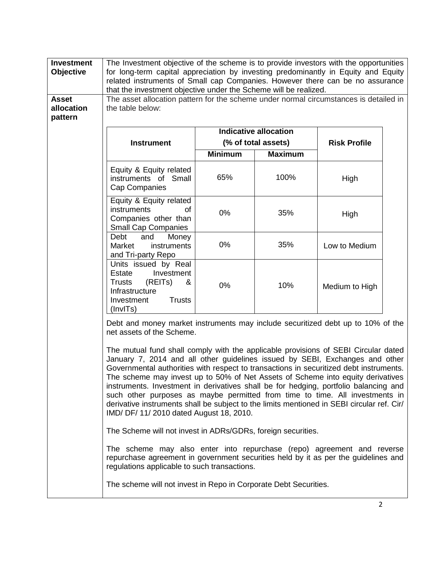| <b>Investment</b><br><b>Objective</b><br><b>Asset</b> | The Investment objective of the scheme is to provide investors with the opportunities<br>for long-term capital appreciation by investing predominantly in Equity and Equity<br>related instruments of Small cap Companies. However there can be no assurance<br>that the investment objective under the Scheme will be realized.                                                                                                                                                                                                                                                                                                                                  |                |                              |                     |  |
|-------------------------------------------------------|-------------------------------------------------------------------------------------------------------------------------------------------------------------------------------------------------------------------------------------------------------------------------------------------------------------------------------------------------------------------------------------------------------------------------------------------------------------------------------------------------------------------------------------------------------------------------------------------------------------------------------------------------------------------|----------------|------------------------------|---------------------|--|
| allocation<br>pattern                                 | The asset allocation pattern for the scheme under normal circumstances is detailed in<br>the table below:                                                                                                                                                                                                                                                                                                                                                                                                                                                                                                                                                         |                |                              |                     |  |
|                                                       |                                                                                                                                                                                                                                                                                                                                                                                                                                                                                                                                                                                                                                                                   |                | <b>Indicative allocation</b> |                     |  |
|                                                       | <b>Instrument</b>                                                                                                                                                                                                                                                                                                                                                                                                                                                                                                                                                                                                                                                 |                | (% of total assets)          | <b>Risk Profile</b> |  |
|                                                       |                                                                                                                                                                                                                                                                                                                                                                                                                                                                                                                                                                                                                                                                   | <b>Minimum</b> | <b>Maximum</b>               |                     |  |
|                                                       | Equity & Equity related<br>instruments of Small<br>Cap Companies                                                                                                                                                                                                                                                                                                                                                                                                                                                                                                                                                                                                  | 65%            | 100%                         | High                |  |
|                                                       | Equity & Equity related<br>instruments<br>οf<br>Companies other than<br><b>Small Cap Companies</b>                                                                                                                                                                                                                                                                                                                                                                                                                                                                                                                                                                | 0%             | 35%                          | High                |  |
|                                                       | Debt<br>and<br>Money<br>Market<br>instruments<br>and Tri-party Repo                                                                                                                                                                                                                                                                                                                                                                                                                                                                                                                                                                                               | 0%             | 35%                          | Low to Medium       |  |
|                                                       | Units issued by Real<br>Investment<br>Estate<br><b>Trusts</b><br>(REITs)<br>&<br>Infrastructure<br><b>Trusts</b><br>Investment<br>(InvITs)                                                                                                                                                                                                                                                                                                                                                                                                                                                                                                                        | 0%             | 10%                          | Medium to High      |  |
|                                                       | Debt and money market instruments may include securitized debt up to 10% of the<br>net assets of the Scheme.                                                                                                                                                                                                                                                                                                                                                                                                                                                                                                                                                      |                |                              |                     |  |
|                                                       | The mutual fund shall comply with the applicable provisions of SEBI Circular dated<br>January 7, 2014 and all other guidelines issued by SEBI, Exchanges and other<br>Governmental authorities with respect to transactions in securitized debt instruments.<br>The scheme may invest up to 50% of Net Assets of Scheme into equity derivatives<br>instruments. Investment in derivatives shall be for hedging, portfolio balancing and<br>such other purposes as maybe permitted from time to time. All investments in<br>derivative instruments shall be subject to the limits mentioned in SEBI circular ref. Cir/<br>IMD/ DF/ 11/ 2010 dated August 18, 2010. |                |                              |                     |  |
|                                                       | The Scheme will not invest in ADRs/GDRs, foreign securities.                                                                                                                                                                                                                                                                                                                                                                                                                                                                                                                                                                                                      |                |                              |                     |  |
|                                                       | The scheme may also enter into repurchase (repo) agreement and reverse<br>repurchase agreement in government securities held by it as per the guidelines and<br>regulations applicable to such transactions.                                                                                                                                                                                                                                                                                                                                                                                                                                                      |                |                              |                     |  |
|                                                       | The scheme will not invest in Repo in Corporate Debt Securities.                                                                                                                                                                                                                                                                                                                                                                                                                                                                                                                                                                                                  |                |                              |                     |  |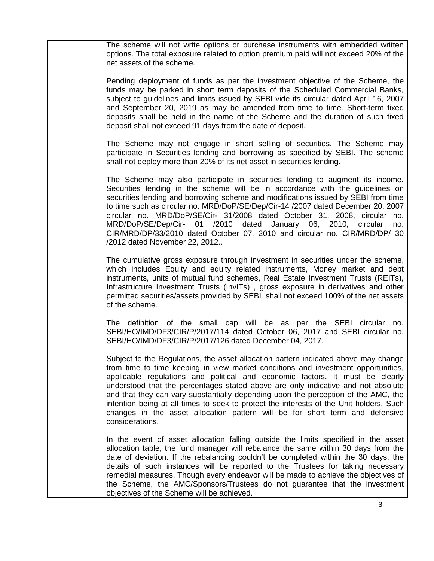The scheme will not write options or purchase instruments with embedded written options. The total exposure related to option premium paid will not exceed 20% of the net assets of the scheme.

Pending deployment of funds as per the investment objective of the Scheme, the funds may be parked in short term deposits of the Scheduled Commercial Banks, subject to guidelines and limits issued by SEBI vide its circular dated April 16, 2007 and September 20, 2019 as may be amended from time to time. Short-term fixed deposits shall be held in the name of the Scheme and the duration of such fixed deposit shall not exceed 91 days from the date of deposit.

The Scheme may not engage in short selling of securities. The Scheme may participate in Securities lending and borrowing as specified by SEBI. The scheme shall not deploy more than 20% of its net asset in securities lending.

The Scheme may also participate in securities lending to augment its income. Securities lending in the scheme will be in accordance with the guidelines on securities lending and borrowing scheme and modifications issued by SEBI from time to time such as circular no. MRD/DoP/SE/Dep/Cir-14 /2007 dated December 20, 2007 circular no. MRD/DoP/SE/Cir- 31/2008 dated October 31, 2008, circular no. MRD/DoP/SE/Dep/Cir- 01 /2010 dated January 06, 2010, circular no. CIR/MRD/DP/33/2010 dated October 07, 2010 and circular no. CIR/MRD/DP/ 30 /2012 dated November 22, 2012..

The cumulative gross exposure through investment in securities under the scheme, which includes Equity and equity related instruments, Money market and debt instruments, units of mutual fund schemes, Real Estate Investment Trusts (REITs), Infrastructure Investment Trusts (InvITs) , gross exposure in derivatives and other permitted securities/assets provided by SEBI shall not exceed 100% of the net assets of the scheme.

The definition of the small cap will be as per the SEBI circular no. SEBI/HO/IMD/DF3/CIR/P/2017/114 dated October 06, 2017 and SEBI circular no. SEBI/HO/IMD/DF3/CIR/P/2017/126 dated December 04, 2017.

Subject to the Regulations, the asset allocation pattern indicated above may change from time to time keeping in view market conditions and investment opportunities, applicable regulations and political and economic factors. It must be clearly understood that the percentages stated above are only indicative and not absolute and that they can vary substantially depending upon the perception of the AMC, the intention being at all times to seek to protect the interests of the Unit holders. Such changes in the asset allocation pattern will be for short term and defensive considerations.

In the event of asset allocation falling outside the limits specified in the asset allocation table, the fund manager will rebalance the same within 30 days from the date of deviation. If the rebalancing couldn't be completed within the 30 days, the details of such instances will be reported to the Trustees for taking necessary remedial measures. Though every endeavor will be made to achieve the objectives of the Scheme, the AMC/Sponsors/Trustees do not guarantee that the investment objectives of the Scheme will be achieved.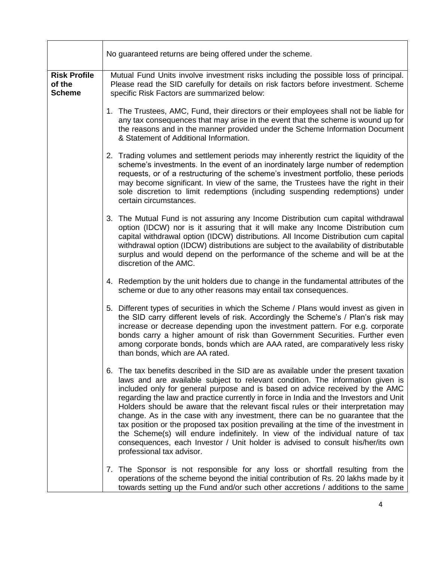|                                                | No guaranteed returns are being offered under the scheme.                                                                                                                                                                                                                                                                                                                                                                                                                                                                                                                                                                                                                                                                                                                                                           |
|------------------------------------------------|---------------------------------------------------------------------------------------------------------------------------------------------------------------------------------------------------------------------------------------------------------------------------------------------------------------------------------------------------------------------------------------------------------------------------------------------------------------------------------------------------------------------------------------------------------------------------------------------------------------------------------------------------------------------------------------------------------------------------------------------------------------------------------------------------------------------|
| <b>Risk Profile</b><br>of the<br><b>Scheme</b> | Mutual Fund Units involve investment risks including the possible loss of principal.<br>Please read the SID carefully for details on risk factors before investment. Scheme<br>specific Risk Factors are summarized below:                                                                                                                                                                                                                                                                                                                                                                                                                                                                                                                                                                                          |
|                                                | 1. The Trustees, AMC, Fund, their directors or their employees shall not be liable for<br>any tax consequences that may arise in the event that the scheme is wound up for<br>the reasons and in the manner provided under the Scheme Information Document<br>& Statement of Additional Information.                                                                                                                                                                                                                                                                                                                                                                                                                                                                                                                |
|                                                | 2. Trading volumes and settlement periods may inherently restrict the liquidity of the<br>scheme's investments. In the event of an inordinately large number of redemption<br>requests, or of a restructuring of the scheme's investment portfolio, these periods<br>may become significant. In view of the same, the Trustees have the right in their<br>sole discretion to limit redemptions (including suspending redemptions) under<br>certain circumstances.                                                                                                                                                                                                                                                                                                                                                   |
|                                                | 3. The Mutual Fund is not assuring any Income Distribution cum capital withdrawal<br>option (IDCW) nor is it assuring that it will make any Income Distribution cum<br>capital withdrawal option (IDCW) distributions. All Income Distribution cum capital<br>withdrawal option (IDCW) distributions are subject to the availability of distributable<br>surplus and would depend on the performance of the scheme and will be at the<br>discretion of the AMC.                                                                                                                                                                                                                                                                                                                                                     |
|                                                | 4. Redemption by the unit holders due to change in the fundamental attributes of the<br>scheme or due to any other reasons may entail tax consequences.                                                                                                                                                                                                                                                                                                                                                                                                                                                                                                                                                                                                                                                             |
|                                                | 5. Different types of securities in which the Scheme / Plans would invest as given in<br>the SID carry different levels of risk. Accordingly the Scheme's / Plan's risk may<br>increase or decrease depending upon the investment pattern. For e.g. corporate<br>bonds carry a higher amount of risk than Government Securities. Further even<br>among corporate bonds, bonds which are AAA rated, are comparatively less risky<br>than bonds, which are AA rated.                                                                                                                                                                                                                                                                                                                                                  |
|                                                | 6. The tax benefits described in the SID are as available under the present taxation<br>laws and are available subject to relevant condition. The information given is<br>included only for general purpose and is based on advice received by the AMC<br>regarding the law and practice currently in force in India and the Investors and Unit<br>Holders should be aware that the relevant fiscal rules or their interpretation may<br>change. As in the case with any investment, there can be no guarantee that the<br>tax position or the proposed tax position prevailing at the time of the investment in<br>the Scheme(s) will endure indefinitely. In view of the individual nature of tax<br>consequences, each Investor / Unit holder is advised to consult his/her/its own<br>professional tax advisor. |
|                                                | 7. The Sponsor is not responsible for any loss or shortfall resulting from the<br>operations of the scheme beyond the initial contribution of Rs. 20 lakhs made by it<br>towards setting up the Fund and/or such other accretions / additions to the same                                                                                                                                                                                                                                                                                                                                                                                                                                                                                                                                                           |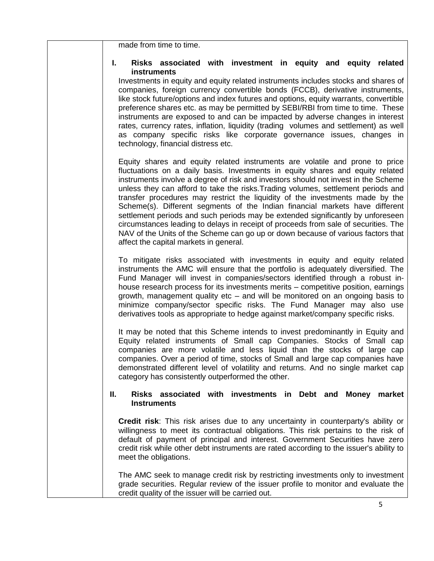made from time to time.

#### **I. Risks associated with investment in equity and equity related instruments**

Investments in equity and equity related instruments includes stocks and shares of companies, foreign currency convertible bonds (FCCB), derivative instruments, like stock future/options and index futures and options, equity warrants, convertible preference shares etc. as may be permitted by SEBI/RBI from time to time. These instruments are exposed to and can be impacted by adverse changes in interest rates, currency rates, inflation, liquidity (trading volumes and settlement) as well as company specific risks like corporate governance issues, changes in technology, financial distress etc.

Equity shares and equity related instruments are volatile and prone to price fluctuations on a daily basis. Investments in equity shares and equity related instruments involve a degree of risk and investors should not invest in the Scheme unless they can afford to take the risks.Trading volumes, settlement periods and transfer procedures may restrict the liquidity of the investments made by the Scheme(s). Different segments of the Indian financial markets have different settlement periods and such periods may be extended significantly by unforeseen circumstances leading to delays in receipt of proceeds from sale of securities. The NAV of the Units of the Scheme can go up or down because of various factors that affect the capital markets in general.

To mitigate risks associated with investments in equity and equity related instruments the AMC will ensure that the portfolio is adequately diversified. The Fund Manager will invest in companies/sectors identified through a robust inhouse research process for its investments merits – competitive position, earnings growth, management quality etc – and will be monitored on an ongoing basis to minimize company/sector specific risks. The Fund Manager may also use derivatives tools as appropriate to hedge against market/company specific risks.

It may be noted that this Scheme intends to invest predominantly in Equity and Equity related instruments of Small cap Companies. Stocks of Small cap companies are more volatile and less liquid than the stocks of large cap companies. Over a period of time, stocks of Small and large cap companies have demonstrated different level of volatility and returns. And no single market cap category has consistently outperformed the other.

#### **II. Risks associated with investments in Debt and Money market Instruments**

**Credit risk**: This risk arises due to any uncertainty in counterparty's ability or willingness to meet its contractual obligations. This risk pertains to the risk of default of payment of principal and interest. Government Securities have zero credit risk while other debt instruments are rated according to the issuer's ability to meet the obligations.

The AMC seek to manage credit risk by restricting investments only to investment grade securities. Regular review of the issuer profile to monitor and evaluate the credit quality of the issuer will be carried out.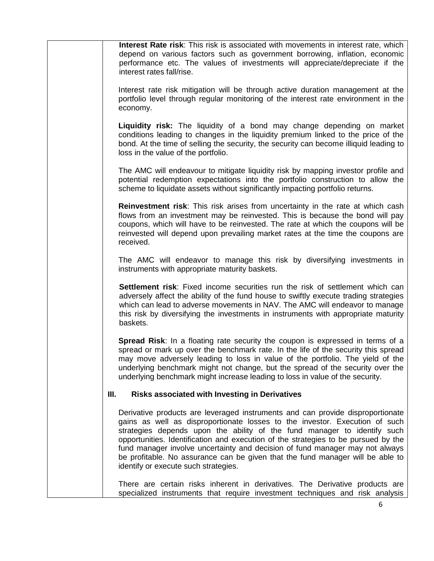**Interest Rate risk**: This risk is associated with movements in interest rate, which depend on various factors such as government borrowing, inflation, economic performance etc. The values of investments will appreciate/depreciate if the interest rates fall/rise.

Interest rate risk mitigation will be through active duration management at the portfolio level through regular monitoring of the interest rate environment in the economy.

**Liquidity risk:** The liquidity of a bond may change depending on market conditions leading to changes in the liquidity premium linked to the price of the bond. At the time of selling the security, the security can become illiquid leading to loss in the value of the portfolio.

The AMC will endeavour to mitigate liquidity risk by mapping investor profile and potential redemption expectations into the portfolio construction to allow the scheme to liquidate assets without significantly impacting portfolio returns.

**Reinvestment risk**: This risk arises from uncertainty in the rate at which cash flows from an investment may be reinvested. This is because the bond will pay coupons, which will have to be reinvested. The rate at which the coupons will be reinvested will depend upon prevailing market rates at the time the coupons are received.

The AMC will endeavor to manage this risk by diversifying investments in instruments with appropriate maturity baskets.

**Settlement risk**: Fixed income securities run the risk of settlement which can adversely affect the ability of the fund house to swiftly execute trading strategies which can lead to adverse movements in NAV. The AMC will endeavor to manage this risk by diversifying the investments in instruments with appropriate maturity baskets.

**Spread Risk**: In a floating rate security the coupon is expressed in terms of a spread or mark up over the benchmark rate. In the life of the security this spread may move adversely leading to loss in value of the portfolio. The yield of the underlying benchmark might not change, but the spread of the security over the underlying benchmark might increase leading to loss in value of the security.

#### **III. Risks associated with Investing in Derivatives**

Derivative products are leveraged instruments and can provide disproportionate gains as well as disproportionate losses to the investor. Execution of such strategies depends upon the ability of the fund manager to identify such opportunities. Identification and execution of the strategies to be pursued by the fund manager involve uncertainty and decision of fund manager may not always be profitable. No assurance can be given that the fund manager will be able to identify or execute such strategies.

There are certain risks inherent in derivatives. The Derivative products are specialized instruments that require investment techniques and risk analysis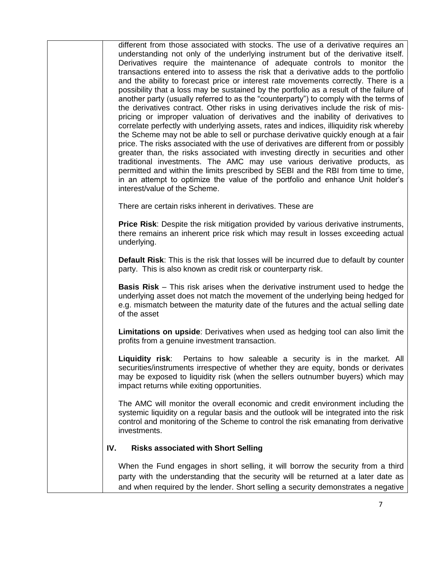different from those associated with stocks. The use of a derivative requires an understanding not only of the underlying instrument but of the derivative itself. Derivatives require the maintenance of adequate controls to monitor the transactions entered into to assess the risk that a derivative adds to the portfolio and the ability to forecast price or interest rate movements correctly. There is a possibility that a loss may be sustained by the portfolio as a result of the failure of another party (usually referred to as the "counterparty") to comply with the terms of the derivatives contract. Other risks in using derivatives include the risk of mispricing or improper valuation of derivatives and the inability of derivatives to correlate perfectly with underlying assets, rates and indices, illiquidity risk whereby the Scheme may not be able to sell or purchase derivative quickly enough at a fair price. The risks associated with the use of derivatives are different from or possibly greater than, the risks associated with investing directly in securities and other traditional investments. The AMC may use various derivative products, as permitted and within the limits prescribed by SEBI and the RBI from time to time, in an attempt to optimize the value of the portfolio and enhance Unit holder's interest/value of the Scheme.

There are certain risks inherent in derivatives. These are

**Price Risk**: Despite the risk mitigation provided by various derivative instruments, there remains an inherent price risk which may result in losses exceeding actual underlying.

**Default Risk**: This is the risk that losses will be incurred due to default by counter party. This is also known as credit risk or counterparty risk.

**Basis Risk** – This risk arises when the derivative instrument used to hedge the underlying asset does not match the movement of the underlying being hedged for e.g. mismatch between the maturity date of the futures and the actual selling date of the asset

**Limitations on upside**: Derivatives when used as hedging tool can also limit the profits from a genuine investment transaction.

**Liquidity risk**: Pertains to how saleable a security is in the market. All securities/instruments irrespective of whether they are equity, bonds or derivates may be exposed to liquidity risk (when the sellers outnumber buyers) which may impact returns while exiting opportunities.

The AMC will monitor the overall economic and credit environment including the systemic liquidity on a regular basis and the outlook will be integrated into the risk control and monitoring of the Scheme to control the risk emanating from derivative investments.

## **IV. Risks associated with Short Selling**

When the Fund engages in short selling, it will borrow the security from a third party with the understanding that the security will be returned at a later date as and when required by the lender. Short selling a security demonstrates a negative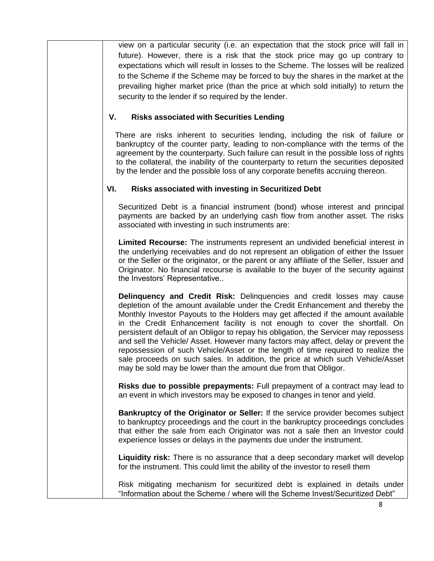view on a particular security (i.e. an expectation that the stock price will fall in future). However, there is a risk that the stock price may go up contrary to expectations which will result in losses to the Scheme. The losses will be realized to the Scheme if the Scheme may be forced to buy the shares in the market at the prevailing higher market price (than the price at which sold initially) to return the security to the lender if so required by the lender.

#### **V. Risks associated with Securities Lending**

 There are risks inherent to securities lending, including the risk of failure or bankruptcy of the counter party, leading to non-compliance with the terms of the agreement by the counterparty. Such failure can result in the possible loss of rights to the collateral, the inability of the counterparty to return the securities deposited by the lender and the possible loss of any corporate benefits accruing thereon.

## **VI. Risks associated with investing in Securitized Debt**

Securitized Debt is a financial instrument (bond) whose interest and principal payments are backed by an underlying cash flow from another asset. The risks associated with investing in such instruments are:

**Limited Recourse:** The instruments represent an undivided beneficial interest in the underlying receivables and do not represent an obligation of either the Issuer or the Seller or the originator, or the parent or any affiliate of the Seller, Issuer and Originator. No financial recourse is available to the buyer of the security against the Investors' Representative..

**Delinquency and Credit Risk:** Delinquencies and credit losses may cause depletion of the amount available under the Credit Enhancement and thereby the Monthly Investor Payouts to the Holders may get affected if the amount available in the Credit Enhancement facility is not enough to cover the shortfall. On persistent default of an Obligor to repay his obligation, the Servicer may repossess and sell the Vehicle/ Asset. However many factors may affect, delay or prevent the repossession of such Vehicle/Asset or the length of time required to realize the sale proceeds on such sales. In addition, the price at which such Vehicle/Asset may be sold may be lower than the amount due from that Obligor.

**Risks due to possible prepayments:** Full prepayment of a contract may lead to an event in which investors may be exposed to changes in tenor and yield.

**Bankruptcy of the Originator or Seller:** If the service provider becomes subject to bankruptcy proceedings and the court in the bankruptcy proceedings concludes that either the sale from each Originator was not a sale then an Investor could experience losses or delays in the payments due under the instrument.

**Liquidity risk:** There is no assurance that a deep secondary market will develop for the instrument. This could limit the ability of the investor to resell them

Risk mitigating mechanism for securitized debt is explained in details under "Information about the Scheme / where will the Scheme Invest/Securitized Debt"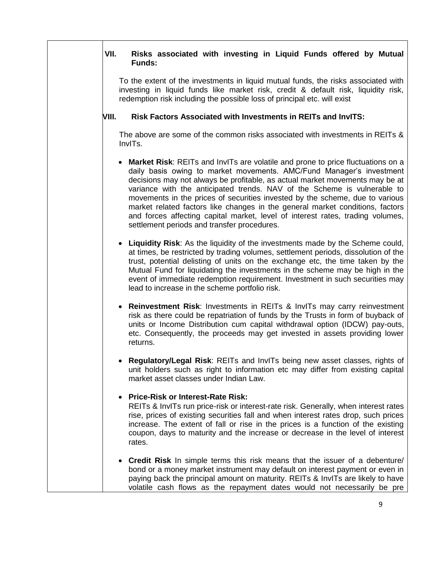#### **VII. Risks associated with investing in Liquid Funds offered by Mutual Funds:**

To the extent of the investments in liquid mutual funds, the risks associated with investing in liquid funds like market risk, credit & default risk, liquidity risk, redemption risk including the possible loss of principal etc. will exist

#### **VIII. Risk Factors Associated with Investments in REITs and InvITS:**

The above are some of the common risks associated with investments in REITs & InvITs.

- **Market Risk**: REITs and InvITs are volatile and prone to price fluctuations on a daily basis owing to market movements. AMC/Fund Manager's investment decisions may not always be profitable, as actual market movements may be at variance with the anticipated trends. NAV of the Scheme is vulnerable to movements in the prices of securities invested by the scheme, due to various market related factors like changes in the general market conditions, factors and forces affecting capital market, level of interest rates, trading volumes, settlement periods and transfer procedures.
- **Liquidity Risk**: As the liquidity of the investments made by the Scheme could, at times, be restricted by trading volumes, settlement periods, dissolution of the trust, potential delisting of units on the exchange etc, the time taken by the Mutual Fund for liquidating the investments in the scheme may be high in the event of immediate redemption requirement. Investment in such securities may lead to increase in the scheme portfolio risk.
- **Reinvestment Risk**: Investments in REITs & InvITs may carry reinvestment risk as there could be repatriation of funds by the Trusts in form of buyback of units or Income Distribution cum capital withdrawal option (IDCW) pay-outs, etc. Consequently, the proceeds may get invested in assets providing lower returns.
- **Regulatory/Legal Risk**: REITs and InvITs being new asset classes, rights of unit holders such as right to information etc may differ from existing capital market asset classes under Indian Law.

## **Price-Risk or Interest-Rate Risk:**

REITs & InvITs run price-risk or interest-rate risk. Generally, when interest rates rise, prices of existing securities fall and when interest rates drop, such prices increase. The extent of fall or rise in the prices is a function of the existing coupon, days to maturity and the increase or decrease in the level of interest rates.

 **Credit Risk** In simple terms this risk means that the issuer of a debenture/ bond or a money market instrument may default on interest payment or even in paying back the principal amount on maturity. REITs & InvITs are likely to have volatile cash flows as the repayment dates would not necessarily be pre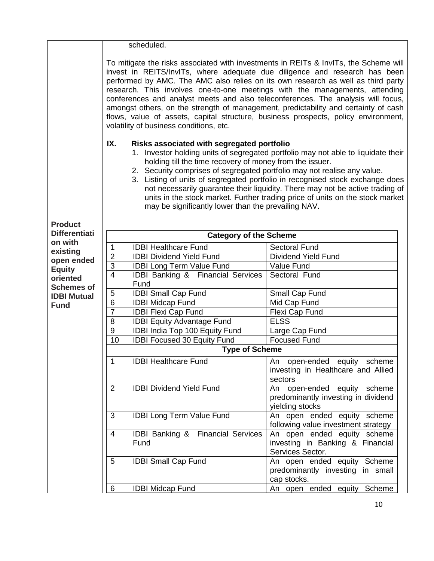|                               |                                                                                                                                                                                                                                                                                                                                                                                                                                                                                                                                                                                                                                                   | scheduled.                                           |                                                                                       |
|-------------------------------|---------------------------------------------------------------------------------------------------------------------------------------------------------------------------------------------------------------------------------------------------------------------------------------------------------------------------------------------------------------------------------------------------------------------------------------------------------------------------------------------------------------------------------------------------------------------------------------------------------------------------------------------------|------------------------------------------------------|---------------------------------------------------------------------------------------|
|                               | To mitigate the risks associated with investments in REITs & InvITs, the Scheme will<br>invest in REITS/InvITs, where adequate due diligence and research has been<br>performed by AMC. The AMC also relies on its own research as well as third party<br>research. This involves one-to-one meetings with the managements, attending<br>conferences and analyst meets and also teleconferences. The analysis will focus,<br>amongst others, on the strength of management, predictability and certainty of cash<br>flows, value of assets, capital structure, business prospects, policy environment,<br>volatility of business conditions, etc. |                                                      |                                                                                       |
|                               | IX.                                                                                                                                                                                                                                                                                                                                                                                                                                                                                                                                                                                                                                               |                                                      |                                                                                       |
|                               | Risks associated with segregated portfolio<br>1. Investor holding units of segregated portfolio may not able to liquidate their<br>holding till the time recovery of money from the issuer.<br>2. Security comprises of segregated portfolio may not realise any value.<br>3. Listing of units of segregated portfolio in recognised stock exchange does<br>not necessarily guarantee their liquidity. There may not be active trading of<br>units in the stock market. Further trading price of units on the stock market<br>may be significantly lower than the prevailing NAV.                                                                 |                                                      |                                                                                       |
| <b>Product</b>                |                                                                                                                                                                                                                                                                                                                                                                                                                                                                                                                                                                                                                                                   |                                                      |                                                                                       |
| <b>Differentiati</b>          |                                                                                                                                                                                                                                                                                                                                                                                                                                                                                                                                                                                                                                                   | <b>Category of the Scheme</b>                        |                                                                                       |
| on with                       | 1                                                                                                                                                                                                                                                                                                                                                                                                                                                                                                                                                                                                                                                 | <b>IDBI Healthcare Fund</b>                          | <b>Sectoral Fund</b>                                                                  |
| existing<br>open ended        | $\overline{2}$                                                                                                                                                                                                                                                                                                                                                                                                                                                                                                                                                                                                                                    | <b>IDBI Dividend Yield Fund</b>                      | <b>Dividend Yield Fund</b>                                                            |
| <b>Equity</b>                 | 3                                                                                                                                                                                                                                                                                                                                                                                                                                                                                                                                                                                                                                                 | <b>IDBI Long Term Value Fund</b>                     | Value Fund                                                                            |
| oriented<br><b>Schemes of</b> | $\overline{4}$                                                                                                                                                                                                                                                                                                                                                                                                                                                                                                                                                                                                                                    | <b>IDBI Banking &amp; Financial Services</b><br>Fund | Sectoral Fund                                                                         |
| <b>IDBI Mutual</b>            | 5                                                                                                                                                                                                                                                                                                                                                                                                                                                                                                                                                                                                                                                 | <b>IDBI Small Cap Fund</b>                           | Small Cap Fund                                                                        |
| <b>Fund</b>                   | $\overline{6}$                                                                                                                                                                                                                                                                                                                                                                                                                                                                                                                                                                                                                                    | <b>IDBI Midcap Fund</b>                              | Mid Cap Fund                                                                          |
|                               | $\overline{7}$                                                                                                                                                                                                                                                                                                                                                                                                                                                                                                                                                                                                                                    | <b>IDBI Flexi Cap Fund</b>                           | Flexi Cap Fund                                                                        |
|                               | 8                                                                                                                                                                                                                                                                                                                                                                                                                                                                                                                                                                                                                                                 | <b>IDBI Equity Advantage Fund</b>                    | <b>ELSS</b>                                                                           |
|                               | $\boldsymbol{9}$                                                                                                                                                                                                                                                                                                                                                                                                                                                                                                                                                                                                                                  | IDBI India Top 100 Equity Fund                       | Large Cap Fund                                                                        |
|                               | 10                                                                                                                                                                                                                                                                                                                                                                                                                                                                                                                                                                                                                                                | <b>IDBI Focused 30 Equity Fund</b>                   | <b>Focused Fund</b>                                                                   |
|                               |                                                                                                                                                                                                                                                                                                                                                                                                                                                                                                                                                                                                                                                   | <b>Type of Scheme</b>                                |                                                                                       |
|                               | 1                                                                                                                                                                                                                                                                                                                                                                                                                                                                                                                                                                                                                                                 | <b>IDBI Healthcare Fund</b>                          | An open-ended equity scheme<br>investing in Healthcare and Allied<br>sectors          |
|                               | $\overline{2}$                                                                                                                                                                                                                                                                                                                                                                                                                                                                                                                                                                                                                                    | <b>IDBI Dividend Yield Fund</b>                      | An open-ended equity scheme<br>predominantly investing in dividend<br>yielding stocks |
|                               | 3                                                                                                                                                                                                                                                                                                                                                                                                                                                                                                                                                                                                                                                 | <b>IDBI Long Term Value Fund</b>                     | An open ended equity scheme<br>following value investment strategy                    |
|                               | 4                                                                                                                                                                                                                                                                                                                                                                                                                                                                                                                                                                                                                                                 | <b>IDBI Banking &amp; Financial Services</b><br>Fund | An open ended equity scheme<br>investing in Banking & Financial<br>Services Sector.   |
|                               | 5                                                                                                                                                                                                                                                                                                                                                                                                                                                                                                                                                                                                                                                 | <b>IDBI Small Cap Fund</b>                           | An open ended equity Scheme<br>predominantly investing in small<br>cap stocks.        |
|                               | 6                                                                                                                                                                                                                                                                                                                                                                                                                                                                                                                                                                                                                                                 | <b>IDBI Midcap Fund</b>                              | An open ended equity Scheme                                                           |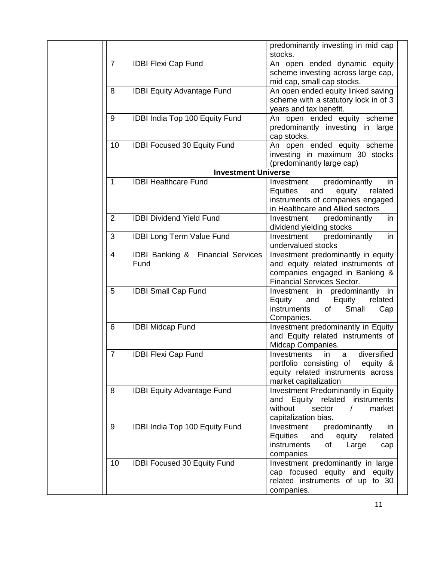|                |                                                      | predominantly investing in mid cap<br>stocks.                                                                                                            |
|----------------|------------------------------------------------------|----------------------------------------------------------------------------------------------------------------------------------------------------------|
| $\overline{7}$ | <b>IDBI Flexi Cap Fund</b>                           | An open ended dynamic equity<br>scheme investing across large cap,<br>mid cap, small cap stocks.                                                         |
| 8              | <b>IDBI Equity Advantage Fund</b>                    | An open ended equity linked saving<br>scheme with a statutory lock in of 3<br>years and tax benefit.                                                     |
| 9              | IDBI India Top 100 Equity Fund                       | An open ended equity scheme<br>predominantly investing in large<br>cap stocks.                                                                           |
| 10             | <b>IDBI Focused 30 Equity Fund</b>                   | An open ended equity scheme<br>investing in maximum 30 stocks<br>(predominantly large cap)                                                               |
|                | <b>Investment Universe</b>                           |                                                                                                                                                          |
| 1              | <b>IDBI Healthcare Fund</b>                          | predominantly<br>in<br>Investment<br><b>Equities</b><br>equity<br>related<br>and<br>instruments of companies engaged<br>in Healthcare and Allied sectors |
| 2              | <b>IDBI Dividend Yield Fund</b>                      | Investment<br>predominantly<br>in<br>dividend yielding stocks                                                                                            |
| 3              | <b>IDBI Long Term Value Fund</b>                     | Investment<br>predominantly<br>in<br>undervalued stocks                                                                                                  |
| $\overline{4}$ | <b>IDBI Banking &amp; Financial Services</b><br>Fund | Investment predominantly in equity<br>and equity related instruments of<br>companies engaged in Banking &<br><b>Financial Services Sector.</b>           |
| 5              | <b>IDBI Small Cap Fund</b>                           | Investment in predominantly in<br>Equity<br>Equity and<br>related<br>Small<br>of<br>instruments<br>Cap<br>Companies.                                     |
| 6              | <b>IDBI Midcap Fund</b>                              | Investment predominantly in Equity<br>and Equity related instruments of<br>Midcap Companies.                                                             |
| $\overline{7}$ | <b>IDBI Flexi Cap Fund</b>                           | Investments in a diversified<br>portfolio consisting of equity &<br>equity related instruments across<br>market capitalization                           |
| 8              | <b>IDBI Equity Advantage Fund</b>                    | Investment Predominantly in Equity<br>and Equity related instruments<br>without<br>sector<br>market<br>$\sqrt{2}$<br>capitalization bias.                |
| 9              | IDBI India Top 100 Equity Fund                       | predominantly<br>Investment<br>in<br>Equities and<br>equity<br>related<br>instruments<br>Large<br>of<br>cap<br>companies                                 |
| 10             | <b>IDBI Focused 30 Equity Fund</b>                   | Investment predominantly in large<br>cap focused equity and equity<br>related instruments of up to 30<br>companies.                                      |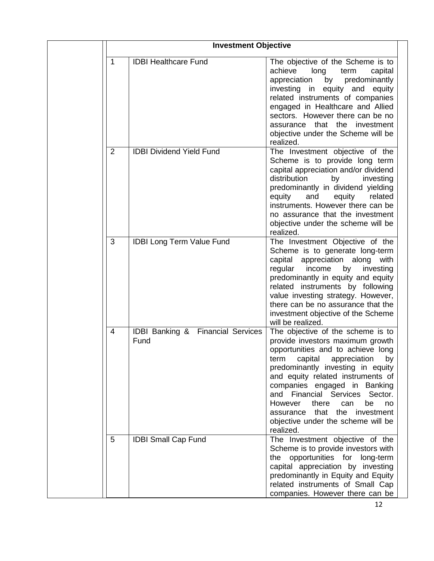|                | <b>Investment Objective</b>                          |                                                                                                                                                                                                                                                                                                                                                                                                                                  |
|----------------|------------------------------------------------------|----------------------------------------------------------------------------------------------------------------------------------------------------------------------------------------------------------------------------------------------------------------------------------------------------------------------------------------------------------------------------------------------------------------------------------|
| 1              | <b>IDBI Healthcare Fund</b>                          | The objective of the Scheme is to<br>achieve<br>long<br>term<br>capital<br>by<br>appreciation<br>predominantly<br>investing in equity and<br>equity<br>related instruments of companies<br>engaged in Healthcare and Allied<br>sectors. However there can be no<br>that the<br>investment<br>assurance<br>objective under the Scheme will be<br>realized.                                                                        |
| $\overline{2}$ | <b>IDBI Dividend Yield Fund</b>                      | The Investment objective of the<br>Scheme is to provide long term<br>capital appreciation and/or dividend<br>distribution<br>investing<br>by<br>predominantly in dividend yielding<br>and<br>equity<br>related<br>equity<br>instruments. However there can be<br>no assurance that the investment<br>objective under the scheme will be<br>realized.                                                                             |
| 3              | <b>IDBI Long Term Value Fund</b>                     | The Investment Objective of the<br>Scheme is to generate long-term<br>capital<br>appreciation along<br>with<br>regular<br>income<br>investing<br>by<br>predominantly in equity and equity<br>related instruments by following<br>value investing strategy. However,<br>there can be no assurance that the<br>investment objective of the Scheme<br>will be realized.                                                             |
| 4              | <b>IDBI Banking &amp; Financial Services</b><br>Fund | The objective of the scheme is to<br>provide investors maximum growth<br>opportunities and to achieve long<br>capital<br>appreciation<br>term<br>by<br>predominantly investing in equity<br>and equity related instruments of<br>companies engaged in Banking<br>and Financial Services Sector.<br>However<br>there<br>be<br>can<br>no<br>that<br>the investment<br>assurance<br>objective under the scheme will be<br>realized. |
| 5              | <b>IDBI Small Cap Fund</b>                           | The Investment objective of the<br>Scheme is to provide investors with<br>the opportunities for long-term<br>capital appreciation by investing<br>predominantly in Equity and Equity<br>related instruments of Small Cap<br>companies. However there can be                                                                                                                                                                      |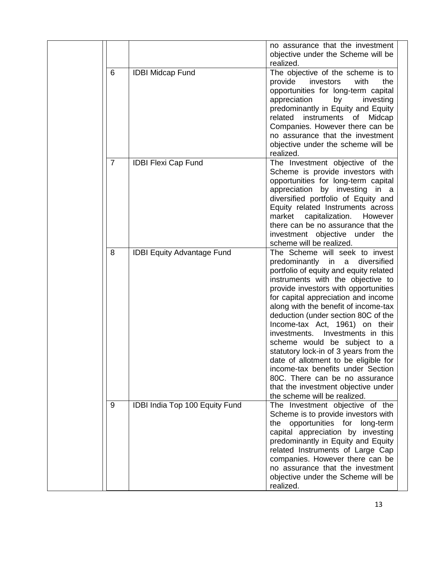|   |                                   | no assurance that the investment<br>objective under the Scheme will be<br>realized.                                                                                                                                                                                                                                                                                                                                                                                                                                                                                                                                                                      |
|---|-----------------------------------|----------------------------------------------------------------------------------------------------------------------------------------------------------------------------------------------------------------------------------------------------------------------------------------------------------------------------------------------------------------------------------------------------------------------------------------------------------------------------------------------------------------------------------------------------------------------------------------------------------------------------------------------------------|
| 6 | <b>IDBI Midcap Fund</b>           | The objective of the scheme is to<br>investors<br>provide<br>with<br>the<br>opportunities for long-term capital<br>appreciation<br>by<br>investing<br>predominantly in Equity and Equity<br>related instruments<br>Midcap<br>of<br>Companies. However there can be<br>no assurance that the investment<br>objective under the scheme will be<br>realized.                                                                                                                                                                                                                                                                                                |
| 7 | <b>IDBI Flexi Cap Fund</b>        | The Investment objective of the<br>Scheme is provide investors with<br>opportunities for long-term capital<br>appreciation by investing in a<br>diversified portfolio of Equity and<br>Equity related Instruments across<br>capitalization.<br>However<br>market<br>there can be no assurance that the<br>investment objective under the<br>scheme will be realized.                                                                                                                                                                                                                                                                                     |
| 8 | <b>IDBI Equity Advantage Fund</b> | The Scheme will seek to invest<br>predominantly in a<br>diversified<br>portfolio of equity and equity related<br>instruments with the objective to<br>provide investors with opportunities<br>for capital appreciation and income<br>along with the benefit of income-tax<br>deduction (under section 80C of the<br>Income-tax Act, 1961) on their<br>Investments in this<br>investments.<br>scheme would be subject to a<br>statutory lock-in of 3 years from the<br>date of allotment to be eligible for<br>income-tax benefits under Section<br>80C. There can be no assurance<br>that the investment objective under<br>the scheme will be realized. |
| 9 | IDBI India Top 100 Equity Fund    | The Investment objective of the<br>Scheme is to provide investors with<br>the opportunities for long-term<br>capital appreciation by investing<br>predominantly in Equity and Equity<br>related Instruments of Large Cap<br>companies. However there can be<br>no assurance that the investment<br>objective under the Scheme will be<br>realized.                                                                                                                                                                                                                                                                                                       |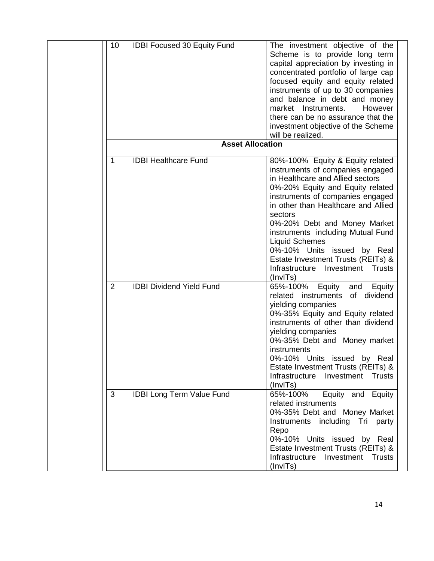| 10          | <b>IDBI Focused 30 Equity Fund</b> | The investment objective of the                         |
|-------------|------------------------------------|---------------------------------------------------------|
|             |                                    | Scheme is to provide long term                          |
|             |                                    | capital appreciation by investing in                    |
|             |                                    | concentrated portfolio of large cap                     |
|             |                                    | focused equity and equity related                       |
|             |                                    | instruments of up to 30 companies                       |
|             |                                    | and balance in debt and money                           |
|             |                                    | Instruments.<br>However<br>market                       |
|             |                                    | there can be no assurance that the                      |
|             |                                    |                                                         |
|             |                                    | investment objective of the Scheme<br>will be realized. |
|             | <b>Asset Allocation</b>            |                                                         |
|             |                                    |                                                         |
| $\mathbf 1$ | <b>IDBI Healthcare Fund</b>        | 80%-100% Equity & Equity related                        |
|             |                                    | instruments of companies engaged                        |
|             |                                    | in Healthcare and Allied sectors                        |
|             |                                    | 0%-20% Equity and Equity related                        |
|             |                                    | instruments of companies engaged                        |
|             |                                    | in other than Healthcare and Allied                     |
|             |                                    | sectors                                                 |
|             |                                    | 0%-20% Debt and Money Market                            |
|             |                                    | instruments including Mutual Fund                       |
|             |                                    | <b>Liquid Schemes</b>                                   |
|             |                                    | 0%-10% Units issued by Real                             |
|             |                                    | Estate Investment Trusts (REITs) &                      |
|             |                                    | Infrastructure<br>Investment<br>Trusts                  |
|             |                                    | (InvITs)                                                |
| 2           | <b>IDBI Dividend Yield Fund</b>    | 65%-100%<br>Equity<br>and<br>Equity                     |
|             |                                    | instruments<br>of dividend<br>related                   |
|             |                                    | yielding companies                                      |
|             |                                    | 0%-35% Equity and Equity related                        |
|             |                                    | instruments of other than dividend                      |
|             |                                    | yielding companies                                      |
|             |                                    | 0%-35% Debt and Money market                            |
|             |                                    | instruments                                             |
|             |                                    | 0%-10% Units issued by Real                             |
|             |                                    | Estate Investment Trusts (REITs) &                      |
|             |                                    | Infrastructure<br>Investment Trusts                     |
|             |                                    | (InvITs)                                                |
| 3           | <b>IDBI Long Term Value Fund</b>   | 65%-100%<br>Equity and Equity                           |
|             |                                    | related instruments                                     |
|             |                                    | 0%-35% Debt and Money Market                            |
|             |                                    |                                                         |
|             |                                    | Instruments including Tri party                         |
|             |                                    | Repo                                                    |
|             |                                    | 0%-10% Units issued by Real                             |
|             |                                    | Estate Investment Trusts (REITs) &                      |
|             |                                    | Infrastructure<br>Investment Trusts                     |
|             |                                    | (InvITs)                                                |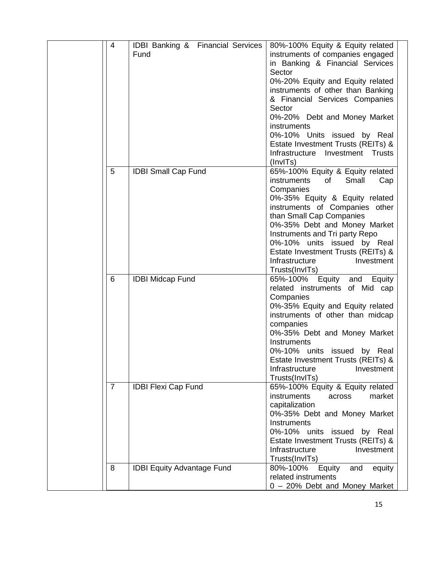| $\overline{4}$ | <b>IDBI Banking &amp; Financial Services</b><br>Fund | 80%-100% Equity & Equity related<br>instruments of companies engaged<br>in Banking & Financial Services<br>Sector<br>0%-20% Equity and Equity related<br>instruments of other than Banking<br>& Financial Services Companies<br>Sector<br>0%-20% Debt and Money Market<br>instruments<br>0%-10% Units issued by Real<br>Estate Investment Trusts (REITs) &<br>Infrastructure<br>Investment Trusts |
|----------------|------------------------------------------------------|---------------------------------------------------------------------------------------------------------------------------------------------------------------------------------------------------------------------------------------------------------------------------------------------------------------------------------------------------------------------------------------------------|
| 5              | <b>IDBI Small Cap Fund</b>                           | (InvITs)<br>65%-100% Equity & Equity related<br>Small<br>instruments<br>of<br>Cap<br>Companies<br>0%-35% Equity & Equity related<br>instruments of Companies other<br>than Small Cap Companies<br>0%-35% Debt and Money Market<br>Instruments and Tri party Repo<br>0%-10% units issued by Real<br>Estate Investment Trusts (REITs) &<br>Infrastructure<br>Investment<br>Trusts(InvITs)           |
| 6              | <b>IDBI Midcap Fund</b>                              | 65%-100%<br>Equity<br>and Equity<br>related instruments of Mid cap<br>Companies<br>0%-35% Equity and Equity related<br>instruments of other than midcap<br>companies<br>0%-35% Debt and Money Market<br>Instruments<br>0%-10% units issued by Real<br>Estate Investment Trusts (REITs) &<br>Infrastructure<br>Investment<br>Trusts(InvITs)                                                        |
| $\overline{7}$ | <b>IDBI Flexi Cap Fund</b>                           | 65%-100% Equity & Equity related<br>market<br><i>instruments</i><br>across<br>capitalization<br>0%-35% Debt and Money Market<br><b>Instruments</b><br>0%-10% units issued by Real<br>Estate Investment Trusts (REITs) &<br>Infrastructure<br>Investment<br>Trusts(InvITs)                                                                                                                         |
| 8              | <b>IDBI Equity Advantage Fund</b>                    | 80%-100%<br>Equity<br>and<br>equity<br>related instruments<br>0 - 20% Debt and Money Market                                                                                                                                                                                                                                                                                                       |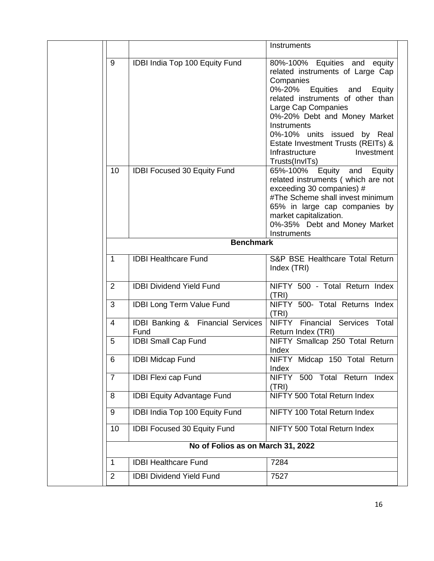|                |                                           | Instruments                                                                                                                                                                                                                                                                                                                                         |
|----------------|-------------------------------------------|-----------------------------------------------------------------------------------------------------------------------------------------------------------------------------------------------------------------------------------------------------------------------------------------------------------------------------------------------------|
| 9              | IDBI India Top 100 Equity Fund            | 80%-100% Equities and equity<br>related instruments of Large Cap<br>Companies<br>0%-20%<br>Equities and<br>Equity<br>related instruments of other than<br>Large Cap Companies<br>0%-20% Debt and Money Market<br>Instruments<br>0%-10% units issued by Real<br>Estate Investment Trusts (REITs) &<br>Infrastructure<br>Investment<br>Trusts(InvITs) |
| 10             | <b>IDBI Focused 30 Equity Fund</b>        | Equity<br>65%-100%<br>and Equity<br>related instruments (which are not<br>exceeding 30 companies) #<br>#The Scheme shall invest minimum<br>65% in large cap companies by<br>market capitalization.<br>0%-35% Debt and Money Market<br>Instruments                                                                                                   |
|                | <b>Benchmark</b>                          |                                                                                                                                                                                                                                                                                                                                                     |
| $\mathbf 1$    | <b>IDBI Healthcare Fund</b>               | S&P BSE Healthcare Total Return                                                                                                                                                                                                                                                                                                                     |
|                |                                           | Index (TRI)                                                                                                                                                                                                                                                                                                                                         |
| $\overline{2}$ | <b>IDBI Dividend Yield Fund</b>           | NIFTY 500 - Total Return Index<br>(TRI)                                                                                                                                                                                                                                                                                                             |
| 3              | <b>IDBI Long Term Value Fund</b>          | NIFTY 500- Total Returns Index<br>(TRI)                                                                                                                                                                                                                                                                                                             |
| $\overline{4}$ | IDBI Banking & Financial Services<br>Fund | Financial Services Total<br>NIFTY<br>Return Index (TRI)                                                                                                                                                                                                                                                                                             |
| 5              | <b>IDBI Small Cap Fund</b>                | NIFTY Smallcap 250 Total Return<br>Index                                                                                                                                                                                                                                                                                                            |
| 6              | <b>IDBI Midcap Fund</b>                   | NIFTY Midcap 150 Total Return<br>Index                                                                                                                                                                                                                                                                                                              |
| $\overline{7}$ | <b>IDBI Flexi cap Fund</b>                | <b>NIFTY</b><br>500<br>Total Return<br>Index<br>(TRI)                                                                                                                                                                                                                                                                                               |
| 8              | <b>IDBI Equity Advantage Fund</b>         | NIFTY 500 Total Return Index                                                                                                                                                                                                                                                                                                                        |
| 9              | IDBI India Top 100 Equity Fund            | NIFTY 100 Total Return Index                                                                                                                                                                                                                                                                                                                        |
| 10             | IDBI Focused 30 Equity Fund               | NIFTY 500 Total Return Index                                                                                                                                                                                                                                                                                                                        |
|                | No of Folios as on March 31, 2022         |                                                                                                                                                                                                                                                                                                                                                     |
| $\mathbf{1}$   | <b>IDBI Healthcare Fund</b>               | 7284                                                                                                                                                                                                                                                                                                                                                |
| 2              | <b>IDBI Dividend Yield Fund</b>           | 7527                                                                                                                                                                                                                                                                                                                                                |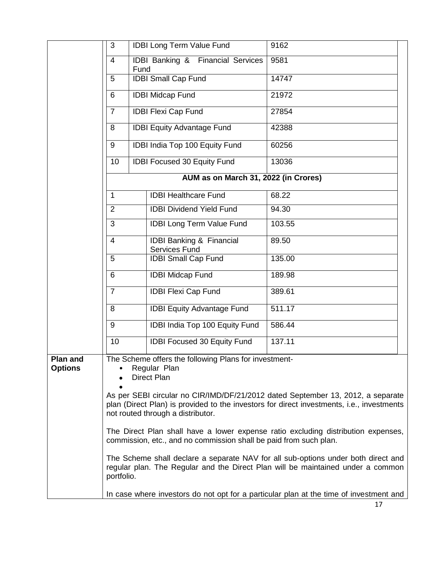|                                   | 3                                                                                                                                                                                                                                                                                                                                                                                                                                                                                                                                                                                                                                                                             | <b>IDBI Long Term Value Fund</b>                                                       | 9162   |  |
|-----------------------------------|-------------------------------------------------------------------------------------------------------------------------------------------------------------------------------------------------------------------------------------------------------------------------------------------------------------------------------------------------------------------------------------------------------------------------------------------------------------------------------------------------------------------------------------------------------------------------------------------------------------------------------------------------------------------------------|----------------------------------------------------------------------------------------|--------|--|
|                                   | 4                                                                                                                                                                                                                                                                                                                                                                                                                                                                                                                                                                                                                                                                             | <b>IDBI Banking &amp; Financial Services</b><br>Fund                                   | 9581   |  |
|                                   | 5                                                                                                                                                                                                                                                                                                                                                                                                                                                                                                                                                                                                                                                                             | <b>IDBI Small Cap Fund</b>                                                             | 14747  |  |
|                                   | 6                                                                                                                                                                                                                                                                                                                                                                                                                                                                                                                                                                                                                                                                             | <b>IDBI Midcap Fund</b>                                                                | 21972  |  |
|                                   | $\overline{7}$                                                                                                                                                                                                                                                                                                                                                                                                                                                                                                                                                                                                                                                                | <b>IDBI Flexi Cap Fund</b>                                                             | 27854  |  |
|                                   | 8                                                                                                                                                                                                                                                                                                                                                                                                                                                                                                                                                                                                                                                                             | <b>IDBI Equity Advantage Fund</b>                                                      | 42388  |  |
|                                   | 9                                                                                                                                                                                                                                                                                                                                                                                                                                                                                                                                                                                                                                                                             | IDBI India Top 100 Equity Fund                                                         | 60256  |  |
|                                   | 10                                                                                                                                                                                                                                                                                                                                                                                                                                                                                                                                                                                                                                                                            | IDBI Focused 30 Equity Fund                                                            | 13036  |  |
|                                   |                                                                                                                                                                                                                                                                                                                                                                                                                                                                                                                                                                                                                                                                               | AUM as on March 31, 2022 (in Crores)                                                   |        |  |
|                                   | $\mathbf 1$                                                                                                                                                                                                                                                                                                                                                                                                                                                                                                                                                                                                                                                                   | <b>IDBI Healthcare Fund</b>                                                            | 68.22  |  |
|                                   | $\overline{2}$                                                                                                                                                                                                                                                                                                                                                                                                                                                                                                                                                                                                                                                                | <b>IDBI Dividend Yield Fund</b>                                                        | 94.30  |  |
|                                   | 3                                                                                                                                                                                                                                                                                                                                                                                                                                                                                                                                                                                                                                                                             | <b>IDBI Long Term Value Fund</b>                                                       | 103.55 |  |
|                                   | $\overline{4}$                                                                                                                                                                                                                                                                                                                                                                                                                                                                                                                                                                                                                                                                | <b>IDBI Banking &amp; Financial</b><br><b>Services Fund</b>                            | 89.50  |  |
|                                   | 5                                                                                                                                                                                                                                                                                                                                                                                                                                                                                                                                                                                                                                                                             | <b>IDBI Small Cap Fund</b>                                                             | 135.00 |  |
|                                   | 6                                                                                                                                                                                                                                                                                                                                                                                                                                                                                                                                                                                                                                                                             | <b>IDBI Midcap Fund</b>                                                                | 189.98 |  |
|                                   | $\overline{7}$                                                                                                                                                                                                                                                                                                                                                                                                                                                                                                                                                                                                                                                                | <b>IDBI Flexi Cap Fund</b>                                                             | 389.61 |  |
|                                   | 8                                                                                                                                                                                                                                                                                                                                                                                                                                                                                                                                                                                                                                                                             | <b>IDBI Equity Advantage Fund</b>                                                      | 511.17 |  |
|                                   | 9                                                                                                                                                                                                                                                                                                                                                                                                                                                                                                                                                                                                                                                                             | IDBI India Top 100 Equity Fund                                                         | 586.44 |  |
|                                   | 10                                                                                                                                                                                                                                                                                                                                                                                                                                                                                                                                                                                                                                                                            | <b>IDBI Focused 30 Equity Fund</b>                                                     | 137.11 |  |
| <b>Plan and</b><br><b>Options</b> | The Scheme offers the following Plans for investment-<br>Regular Plan<br>$\bullet$<br><b>Direct Plan</b><br>As per SEBI circular no CIR/IMD/DF/21/2012 dated September 13, 2012, a separate<br>plan (Direct Plan) is provided to the investors for direct investments, i.e., investments<br>not routed through a distributor.<br>The Direct Plan shall have a lower expense ratio excluding distribution expenses,<br>commission, etc., and no commission shall be paid from such plan.<br>The Scheme shall declare a separate NAV for all sub-options under both direct and<br>regular plan. The Regular and the Direct Plan will be maintained under a common<br>portfolio. |                                                                                        |        |  |
|                                   |                                                                                                                                                                                                                                                                                                                                                                                                                                                                                                                                                                                                                                                                               | In case where investors do not opt for a particular plan at the time of investment and |        |  |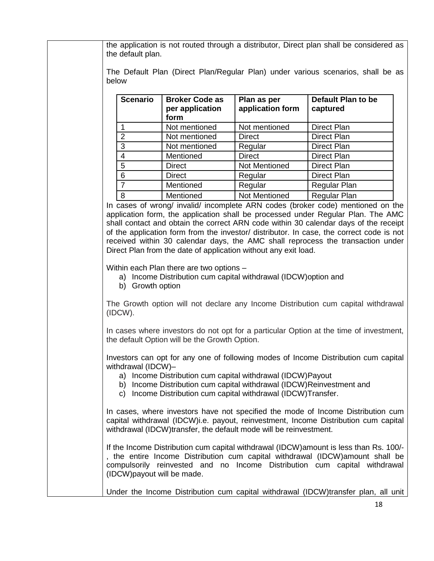the application is not routed through a distributor, Direct plan shall be considered as the default plan.

The Default Plan (Direct Plan/Regular Plan) under various scenarios, shall be as below

| <b>Scenario</b> | <b>Broker Code as</b><br>per application<br>form | Plan as per<br>application form | Default Plan to be<br>captured |
|-----------------|--------------------------------------------------|---------------------------------|--------------------------------|
|                 | Not mentioned                                    | Not mentioned                   | <b>Direct Plan</b>             |
| $\overline{2}$  | Not mentioned                                    | <b>Direct</b>                   | Direct Plan                    |
| 3               | Not mentioned                                    | Regular                         | <b>Direct Plan</b>             |
| 4               | Mentioned                                        | <b>Direct</b>                   | Direct Plan                    |
| 5               | <b>Direct</b>                                    | Not Mentioned                   | <b>Direct Plan</b>             |
| 6               | <b>Direct</b>                                    | Regular                         | Direct Plan                    |
| 7               | Mentioned                                        | Regular                         | <b>Regular Plan</b>            |
| 8               | Mentioned                                        | <b>Not Mentioned</b>            | <b>Regular Plan</b>            |

In cases of wrong/ invalid/ incomplete ARN codes (broker code) mentioned on the application form, the application shall be processed under Regular Plan. The AMC shall contact and obtain the correct ARN code within 30 calendar days of the receipt of the application form from the investor/ distributor. In case, the correct code is not received within 30 calendar days, the AMC shall reprocess the transaction under Direct Plan from the date of application without any exit load.

Within each Plan there are two options –

- a) Income Distribution cum capital withdrawal (IDCW)option and
- b) Growth option

The Growth option will not declare any Income Distribution cum capital withdrawal (IDCW).

In cases where investors do not opt for a particular Option at the time of investment, the default Option will be the Growth Option.

Investors can opt for any one of following modes of Income Distribution cum capital withdrawal (IDCW)–

- a) Income Distribution cum capital withdrawal (IDCW)Payout
- b) Income Distribution cum capital withdrawal (IDCW)Reinvestment and
- c) Income Distribution cum capital withdrawal (IDCW)Transfer.

In cases, where investors have not specified the mode of Income Distribution cum capital withdrawal (IDCW)i.e. payout, reinvestment, Income Distribution cum capital withdrawal (IDCW)transfer, the default mode will be reinvestment.

If the Income Distribution cum capital withdrawal (IDCW)amount is less than Rs. 100/- , the entire Income Distribution cum capital withdrawal (IDCW)amount shall be compulsorily reinvested and no Income Distribution cum capital withdrawal (IDCW)payout will be made.

Under the Income Distribution cum capital withdrawal (IDCW)transfer plan, all unit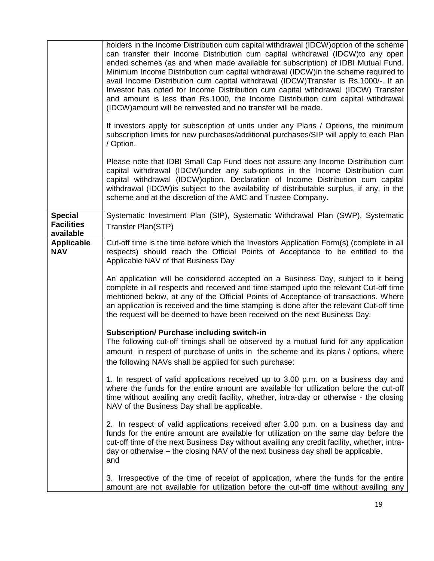|                                                  | holders in the Income Distribution cum capital withdrawal (IDCW) option of the scheme<br>can transfer their Income Distribution cum capital withdrawal (IDCW)to any open<br>ended schemes (as and when made available for subscription) of IDBI Mutual Fund.<br>Minimum Income Distribution cum capital withdrawal (IDCW) in the scheme required to<br>avail Income Distribution cum capital withdrawal (IDCW)Transfer is Rs.1000/-. If an<br>Investor has opted for Income Distribution cum capital withdrawal (IDCW) Transfer<br>and amount is less than Rs.1000, the Income Distribution cum capital withdrawal<br>(IDCW) amount will be reinvested and no transfer will be made. |
|--------------------------------------------------|--------------------------------------------------------------------------------------------------------------------------------------------------------------------------------------------------------------------------------------------------------------------------------------------------------------------------------------------------------------------------------------------------------------------------------------------------------------------------------------------------------------------------------------------------------------------------------------------------------------------------------------------------------------------------------------|
|                                                  | If investors apply for subscription of units under any Plans / Options, the minimum<br>subscription limits for new purchases/additional purchases/SIP will apply to each Plan<br>/ Option.                                                                                                                                                                                                                                                                                                                                                                                                                                                                                           |
|                                                  | Please note that IDBI Small Cap Fund does not assure any Income Distribution cum<br>capital withdrawal (IDCW)under any sub-options in the Income Distribution cum<br>capital withdrawal (IDCW)option. Declaration of Income Distribution cum capital<br>withdrawal (IDCW) is subject to the availability of distributable surplus, if any, in the<br>scheme and at the discretion of the AMC and Trustee Company.                                                                                                                                                                                                                                                                    |
| <b>Special</b><br><b>Facilities</b><br>available | Systematic Investment Plan (SIP), Systematic Withdrawal Plan (SWP), Systematic<br>Transfer Plan(STP)                                                                                                                                                                                                                                                                                                                                                                                                                                                                                                                                                                                 |
| <b>Applicable</b><br><b>NAV</b>                  | Cut-off time is the time before which the Investors Application Form(s) (complete in all<br>respects) should reach the Official Points of Acceptance to be entitled to the<br>Applicable NAV of that Business Day                                                                                                                                                                                                                                                                                                                                                                                                                                                                    |
|                                                  | An application will be considered accepted on a Business Day, subject to it being<br>complete in all respects and received and time stamped upto the relevant Cut-off time<br>mentioned below, at any of the Official Points of Acceptance of transactions. Where<br>an application is received and the time stamping is done after the relevant Cut-off time<br>the request will be deemed to have been received on the next Business Day.                                                                                                                                                                                                                                          |
|                                                  | <b>Subscription/ Purchase including switch-in</b><br>The following cut-off timings shall be observed by a mutual fund for any application<br>amount in respect of purchase of units in the scheme and its plans / options, where<br>the following NAVs shall be applied for such purchase:                                                                                                                                                                                                                                                                                                                                                                                           |
|                                                  | 1. In respect of valid applications received up to 3.00 p.m. on a business day and<br>where the funds for the entire amount are available for utilization before the cut-off<br>time without availing any credit facility, whether, intra-day or otherwise - the closing<br>NAV of the Business Day shall be applicable.                                                                                                                                                                                                                                                                                                                                                             |
|                                                  | 2. In respect of valid applications received after 3.00 p.m. on a business day and<br>funds for the entire amount are available for utilization on the same day before the<br>cut-off time of the next Business Day without availing any credit facility, whether, intra-<br>day or otherwise – the closing NAV of the next business day shall be applicable.<br>and                                                                                                                                                                                                                                                                                                                 |
|                                                  | 3. Irrespective of the time of receipt of application, where the funds for the entire<br>amount are not available for utilization before the cut-off time without availing any                                                                                                                                                                                                                                                                                                                                                                                                                                                                                                       |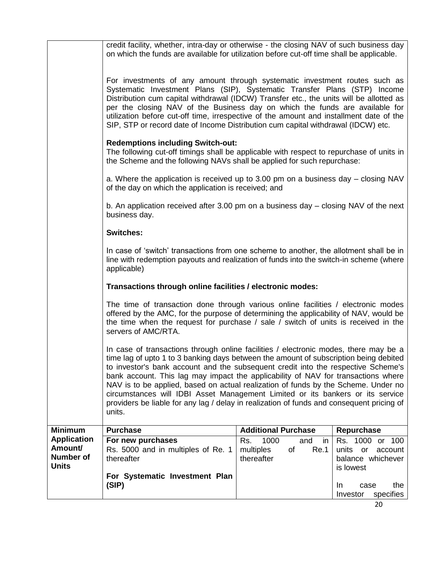|                                                                   | credit facility, whether, intra-day or otherwise - the closing NAV of such business day<br>on which the funds are available for utilization before cut-off time shall be applicable.                                                                                                                                                                                                                                                                                                                                                                                                                                                   |                                                                          |                                                                                        |
|-------------------------------------------------------------------|----------------------------------------------------------------------------------------------------------------------------------------------------------------------------------------------------------------------------------------------------------------------------------------------------------------------------------------------------------------------------------------------------------------------------------------------------------------------------------------------------------------------------------------------------------------------------------------------------------------------------------------|--------------------------------------------------------------------------|----------------------------------------------------------------------------------------|
|                                                                   | For investments of any amount through systematic investment routes such as<br>Systematic Investment Plans (SIP), Systematic Transfer Plans (STP) Income<br>Distribution cum capital withdrawal (IDCW) Transfer etc., the units will be allotted as<br>per the closing NAV of the Business day on which the funds are available for<br>utilization before cut-off time, irrespective of the amount and installment date of the<br>SIP, STP or record date of Income Distribution cum capital withdrawal (IDCW) etc.                                                                                                                     |                                                                          |                                                                                        |
|                                                                   | <b>Redemptions including Switch-out:</b><br>The following cut-off timings shall be applicable with respect to repurchase of units in<br>the Scheme and the following NAVs shall be applied for such repurchase:                                                                                                                                                                                                                                                                                                                                                                                                                        |                                                                          |                                                                                        |
|                                                                   | a. Where the application is received up to 3.00 pm on a business day – closing NAV<br>of the day on which the application is received; and                                                                                                                                                                                                                                                                                                                                                                                                                                                                                             |                                                                          |                                                                                        |
|                                                                   | b. An application received after 3.00 pm on a business day $-$ closing NAV of the next<br>business day.                                                                                                                                                                                                                                                                                                                                                                                                                                                                                                                                |                                                                          |                                                                                        |
|                                                                   | <b>Switches:</b>                                                                                                                                                                                                                                                                                                                                                                                                                                                                                                                                                                                                                       |                                                                          |                                                                                        |
|                                                                   | In case of 'switch' transactions from one scheme to another, the allotment shall be in<br>line with redemption payouts and realization of funds into the switch-in scheme (where<br>applicable)                                                                                                                                                                                                                                                                                                                                                                                                                                        |                                                                          |                                                                                        |
|                                                                   | Transactions through online facilities / electronic modes:                                                                                                                                                                                                                                                                                                                                                                                                                                                                                                                                                                             |                                                                          |                                                                                        |
|                                                                   | The time of transaction done through various online facilities / electronic modes<br>offered by the AMC, for the purpose of determining the applicability of NAV, would be<br>the time when the request for purchase / sale / switch of units is received in the<br>servers of AMC/RTA.                                                                                                                                                                                                                                                                                                                                                |                                                                          |                                                                                        |
|                                                                   | In case of transactions through online facilities / electronic modes, there may be a<br>time lag of upto 1 to 3 banking days between the amount of subscription being debited<br>to investor's bank account and the subsequent credit into the respective Scheme's<br>bank account. This lag may impact the applicability of NAV for transactions where<br>NAV is to be applied, based on actual realization of funds by the Scheme. Under no<br>circumstances will IDBI Asset Management Limited or its bankers or its service<br>providers be liable for any lag / delay in realization of funds and consequent pricing of<br>units. |                                                                          |                                                                                        |
| <b>Minimum</b>                                                    | <b>Purchase</b>                                                                                                                                                                                                                                                                                                                                                                                                                                                                                                                                                                                                                        | <b>Additional Purchase</b>                                               | Repurchase                                                                             |
| <b>Application</b><br>Amount/<br><b>Number of</b><br><b>Units</b> | For new purchases<br>Rs. 5000 and in multiples of Re. 1<br>thereafter                                                                                                                                                                                                                                                                                                                                                                                                                                                                                                                                                                  | 1000<br>Rs.<br>and<br><i>in</i><br>of<br>Re.1<br>multiples<br>thereafter | Rs. 1000 or 100<br>units<br>$\mathsf{or}$<br>account<br>balance whichever<br>is lowest |
|                                                                   | For Systematic Investment Plan<br>(SIP)                                                                                                                                                                                                                                                                                                                                                                                                                                                                                                                                                                                                |                                                                          | In<br>the<br>case<br>specifies<br>Investor                                             |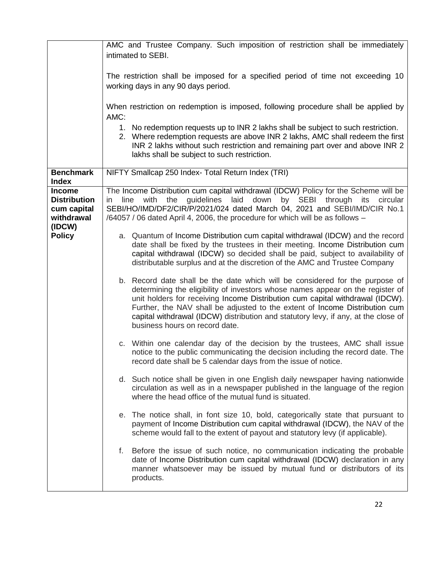|                                                                             | AMC and Trustee Company. Such imposition of restriction shall be immediately<br>intimated to SEBI.                                                                                                                                                                                                                                                                                                                                                     |
|-----------------------------------------------------------------------------|--------------------------------------------------------------------------------------------------------------------------------------------------------------------------------------------------------------------------------------------------------------------------------------------------------------------------------------------------------------------------------------------------------------------------------------------------------|
|                                                                             | The restriction shall be imposed for a specified period of time not exceeding 10<br>working days in any 90 days period.                                                                                                                                                                                                                                                                                                                                |
|                                                                             | When restriction on redemption is imposed, following procedure shall be applied by<br>AMC:                                                                                                                                                                                                                                                                                                                                                             |
|                                                                             | 1. No redemption requests up to INR 2 lakhs shall be subject to such restriction.<br>2. Where redemption requests are above INR 2 lakhs, AMC shall redeem the first<br>INR 2 lakhs without such restriction and remaining part over and above INR 2<br>lakhs shall be subject to such restriction.                                                                                                                                                     |
| <b>Benchmark</b><br><b>Index</b>                                            | NIFTY Smallcap 250 Index- Total Return Index (TRI)                                                                                                                                                                                                                                                                                                                                                                                                     |
| <b>Income</b><br><b>Distribution</b><br>cum capital<br>withdrawal<br>(IDCW) | The Income Distribution cum capital withdrawal (IDCW) Policy for the Scheme will be<br>guidelines<br>down<br>with<br>the<br>laid<br>by SEBI through<br>circular<br>line<br>its<br>$\mathsf{I}$<br>SEBI/HO/IMD/DF2/CIR/P/2021/024 dated March 04, 2021 and SEBI/IMD/CIR No.1<br>/64057 / 06 dated April 4, 2006, the procedure for which will be as follows -                                                                                           |
| <b>Policy</b>                                                               | a. Quantum of Income Distribution cum capital withdrawal (IDCW) and the record<br>date shall be fixed by the trustees in their meeting. Income Distribution cum<br>capital withdrawal (IDCW) so decided shall be paid, subject to availability of<br>distributable surplus and at the discretion of the AMC and Trustee Company                                                                                                                        |
|                                                                             | b. Record date shall be the date which will be considered for the purpose of<br>determining the eligibility of investors whose names appear on the register of<br>unit holders for receiving Income Distribution cum capital withdrawal (IDCW).<br>Further, the NAV shall be adjusted to the extent of Income Distribution cum<br>capital withdrawal (IDCW) distribution and statutory levy, if any, at the close of<br>business hours on record date. |
|                                                                             | c. Within one calendar day of the decision by the trustees, AMC shall issue<br>notice to the public communicating the decision including the record date. The<br>record date shall be 5 calendar days from the issue of notice.                                                                                                                                                                                                                        |
|                                                                             | d. Such notice shall be given in one English daily newspaper having nationwide<br>circulation as well as in a newspaper published in the language of the region<br>where the head office of the mutual fund is situated.                                                                                                                                                                                                                               |
|                                                                             | e. The notice shall, in font size 10, bold, categorically state that pursuant to<br>payment of Income Distribution cum capital withdrawal (IDCW), the NAV of the<br>scheme would fall to the extent of payout and statutory levy (if applicable).                                                                                                                                                                                                      |
|                                                                             | f. Before the issue of such notice, no communication indicating the probable<br>date of Income Distribution cum capital withdrawal (IDCW) declaration in any<br>manner whatsoever may be issued by mutual fund or distributors of its<br>products.                                                                                                                                                                                                     |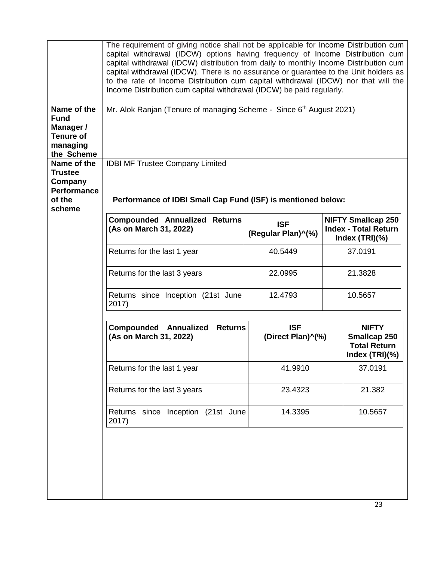|                                                                                       | The requirement of giving notice shall not be applicable for Income Distribution cum<br>capital withdrawal (IDCW) options having frequency of Income Distribution cum<br>capital withdrawal (IDCW) distribution from daily to monthly Income Distribution cum<br>capital withdrawal (IDCW). There is no assurance or guarantee to the Unit holders as<br>to the rate of Income Distribution cum capital withdrawal (IDCW) nor that will the<br>Income Distribution cum capital withdrawal (IDCW) be paid regularly. |                                  |                                                                               |
|---------------------------------------------------------------------------------------|---------------------------------------------------------------------------------------------------------------------------------------------------------------------------------------------------------------------------------------------------------------------------------------------------------------------------------------------------------------------------------------------------------------------------------------------------------------------------------------------------------------------|----------------------------------|-------------------------------------------------------------------------------|
| Name of the<br><b>Fund</b><br>Manager /<br><b>Tenure of</b><br>managing<br>the Scheme | Mr. Alok Ranjan (Tenure of managing Scheme - Since 6th August 2021)                                                                                                                                                                                                                                                                                                                                                                                                                                                 |                                  |                                                                               |
| Name of the<br><b>Trustee</b><br>Company                                              | <b>IDBI MF Trustee Company Limited</b>                                                                                                                                                                                                                                                                                                                                                                                                                                                                              |                                  |                                                                               |
| <b>Performance</b><br>of the<br>scheme                                                | Performance of IDBI Small Cap Fund (ISF) is mentioned below:                                                                                                                                                                                                                                                                                                                                                                                                                                                        |                                  |                                                                               |
|                                                                                       | <b>Compounded Annualized Returns</b><br>(As on March 31, 2022)                                                                                                                                                                                                                                                                                                                                                                                                                                                      | <b>ISF</b><br>(Regular Plan)^(%) | <b>NIFTY Smallcap 250</b><br><b>Index - Total Return</b><br>Index $(TRI)(% )$ |
|                                                                                       | Returns for the last 1 year                                                                                                                                                                                                                                                                                                                                                                                                                                                                                         | 40.5449                          | 37.0191                                                                       |
|                                                                                       | Returns for the last 3 years                                                                                                                                                                                                                                                                                                                                                                                                                                                                                        | 22.0995                          | 21.3828                                                                       |
|                                                                                       | Returns since Inception (21st June<br>2017)                                                                                                                                                                                                                                                                                                                                                                                                                                                                         | 12.4793                          | 10.5657                                                                       |
|                                                                                       | <b>Compounded Annualized</b><br><b>Returns</b><br>(As on March 31, 2022)                                                                                                                                                                                                                                                                                                                                                                                                                                            | <b>ISF</b><br>(Direct Plan)^(%)  | <b>NIFTY</b><br>Smallcap 250<br><b>Total Return</b><br>Index (TRI)(%)         |
|                                                                                       | Returns for the last 1 year                                                                                                                                                                                                                                                                                                                                                                                                                                                                                         | 41.9910                          | 37.0191                                                                       |
|                                                                                       | Returns for the last 3 years                                                                                                                                                                                                                                                                                                                                                                                                                                                                                        | 23.4323                          | 21.382                                                                        |
|                                                                                       | Returns since Inception (21st June<br>2017)                                                                                                                                                                                                                                                                                                                                                                                                                                                                         | 14.3395                          | 10.5657                                                                       |
|                                                                                       |                                                                                                                                                                                                                                                                                                                                                                                                                                                                                                                     |                                  |                                                                               |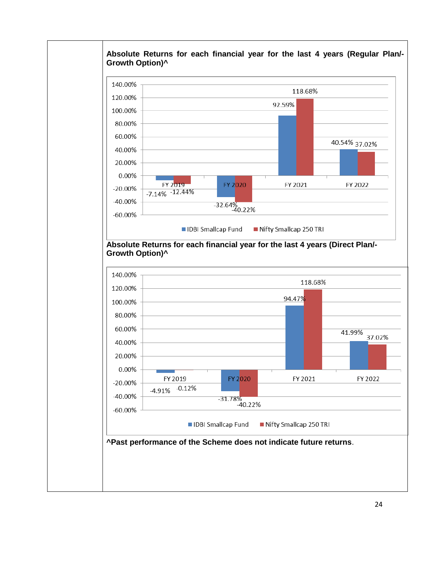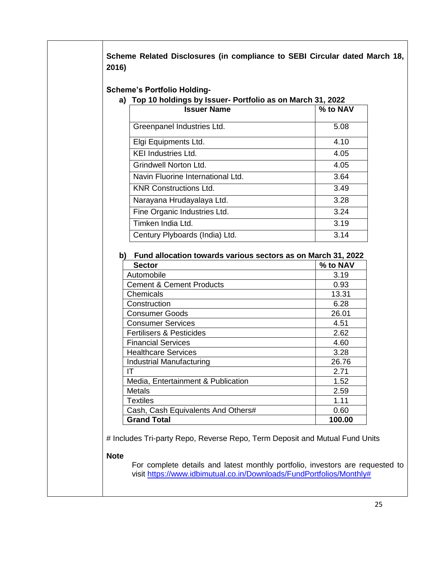**Scheme Related Disclosures (in compliance to SEBI Circular dated March 18, 2016)**

**Scheme's Portfolio Holding-**

#### **a) Top 10 holdings by Issuer- Portfolio as on March 31, 2022**

| <b>Issuer Name</b>                | % to NAV |
|-----------------------------------|----------|
| Greenpanel Industries Ltd.        | 5.08     |
| Elgi Equipments Ltd.              | 4.10     |
| <b>KEI Industries Ltd.</b>        | 4.05     |
| <b>Grindwell Norton Ltd.</b>      | 4.05     |
| Navin Fluorine International Ltd. | 3.64     |
| <b>KNR Constructions Ltd.</b>     | 3.49     |
| Narayana Hrudayalaya Ltd.         | 3.28     |
| Fine Organic Industries Ltd.      | 3.24     |
| Timken India Ltd.                 | 3.19     |
| Century Plyboards (India) Ltd.    | 3.14     |

**b) Fund allocation towards various sectors as on March 31, 2022**

| <b>Sector</b>                       | $%$ to NAV |
|-------------------------------------|------------|
| Automobile                          | 3.19       |
| <b>Cement &amp; Cement Products</b> | 0.93       |
| Chemicals                           | 13.31      |
| Construction                        | 6.28       |
| <b>Consumer Goods</b>               | 26.01      |
| <b>Consumer Services</b>            | 4.51       |
| Fertilisers & Pesticides            | 2.62       |
| <b>Financial Services</b>           | 4.60       |
| <b>Healthcare Services</b>          | 3.28       |
| Industrial Manufacturing            | 26.76      |
| IΤ                                  | 2.71       |
| Media, Entertainment & Publication  | 1.52       |
| <b>Metals</b>                       | 2.59       |
| Textiles                            | 1.11       |
| Cash, Cash Equivalents And Others#  | 0.60       |
| <b>Grand Total</b>                  | 100.00     |

# Includes Tri-party Repo, Reverse Repo, Term Deposit and Mutual Fund Units

#### **Note**

For complete details and latest monthly portfolio, investors are requested to visit [https://www.idbimutual.co.in/Downloads/FundPortfolios/Monthly#](https://www.idbimutual.co.in/Downloads/FundPortfolios/Monthly)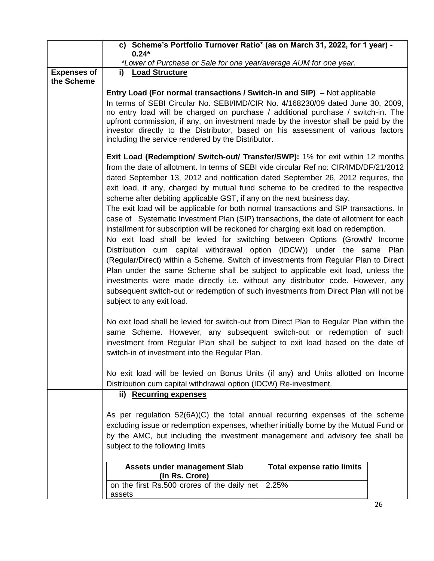|                    | c) Scheme's Portfolio Turnover Ratio* (as on March 31, 2022, for 1 year) -<br>$0.24*$                                                                                                                                                                                                                                                                                                                                                                                                                                                                                                                                                                                                                                                                                                                                                                                                                                                                                                                                                                                                                                                                                                                                                                |                                   |  |
|--------------------|------------------------------------------------------------------------------------------------------------------------------------------------------------------------------------------------------------------------------------------------------------------------------------------------------------------------------------------------------------------------------------------------------------------------------------------------------------------------------------------------------------------------------------------------------------------------------------------------------------------------------------------------------------------------------------------------------------------------------------------------------------------------------------------------------------------------------------------------------------------------------------------------------------------------------------------------------------------------------------------------------------------------------------------------------------------------------------------------------------------------------------------------------------------------------------------------------------------------------------------------------|-----------------------------------|--|
|                    | *Lower of Purchase or Sale for one year/average AUM for one year.                                                                                                                                                                                                                                                                                                                                                                                                                                                                                                                                                                                                                                                                                                                                                                                                                                                                                                                                                                                                                                                                                                                                                                                    |                                   |  |
| <b>Expenses of</b> | i) Load Structure                                                                                                                                                                                                                                                                                                                                                                                                                                                                                                                                                                                                                                                                                                                                                                                                                                                                                                                                                                                                                                                                                                                                                                                                                                    |                                   |  |
| the Scheme         |                                                                                                                                                                                                                                                                                                                                                                                                                                                                                                                                                                                                                                                                                                                                                                                                                                                                                                                                                                                                                                                                                                                                                                                                                                                      |                                   |  |
|                    | <b>Entry Load (For normal transactions / Switch-in and SIP)</b> – Not applicable<br>In terms of SEBI Circular No. SEBI/IMD/CIR No. 4/168230/09 dated June 30, 2009,<br>no entry load will be charged on purchase / additional purchase / switch-in. The<br>upfront commission, if any, on investment made by the investor shall be paid by the<br>investor directly to the Distributor, based on his assessment of various factors<br>including the service rendered by the Distributor.                                                                                                                                                                                                                                                                                                                                                                                                                                                                                                                                                                                                                                                                                                                                                             |                                   |  |
|                    | <b>Exit Load (Redemption/ Switch-out/ Transfer/SWP):</b> 1% for exit within 12 months<br>from the date of allotment. In terms of SEBI vide circular Ref no: CIR/IMD/DF/21/2012<br>dated September 13, 2012 and notification dated September 26, 2012 requires, the<br>exit load, if any, charged by mutual fund scheme to be credited to the respective<br>scheme after debiting applicable GST, if any on the next business day.<br>The exit load will be applicable for both normal transactions and SIP transactions. In<br>case of Systematic Investment Plan (SIP) transactions, the date of allotment for each<br>installment for subscription will be reckoned for charging exit load on redemption.<br>No exit load shall be levied for switching between Options (Growth/ Income<br>Distribution cum capital withdrawal option (IDCW)) under the same Plan<br>(Regular/Direct) within a Scheme. Switch of investments from Regular Plan to Direct<br>Plan under the same Scheme shall be subject to applicable exit load, unless the<br>investments were made directly i.e. without any distributor code. However, any<br>subsequent switch-out or redemption of such investments from Direct Plan will not be<br>subject to any exit load. |                                   |  |
|                    | No exit load shall be levied for switch-out from Direct Plan to Regular Plan within the<br>same Scheme. However, any subsequent switch-out or redemption of such<br>investment from Regular Plan shall be subject to exit load based on the date of<br>switch-in of investment into the Regular Plan.<br>No exit load will be levied on Bonus Units (if any) and Units allotted on Income                                                                                                                                                                                                                                                                                                                                                                                                                                                                                                                                                                                                                                                                                                                                                                                                                                                            |                                   |  |
|                    | Distribution cum capital withdrawal option (IDCW) Re-investment.<br>ii) Recurring expenses                                                                                                                                                                                                                                                                                                                                                                                                                                                                                                                                                                                                                                                                                                                                                                                                                                                                                                                                                                                                                                                                                                                                                           |                                   |  |
|                    | As per regulation 52(6A)(C) the total annual recurring expenses of the scheme<br>excluding issue or redemption expenses, whether initially borne by the Mutual Fund or<br>by the AMC, but including the investment management and advisory fee shall be<br>subject to the following limits                                                                                                                                                                                                                                                                                                                                                                                                                                                                                                                                                                                                                                                                                                                                                                                                                                                                                                                                                           |                                   |  |
|                    | <b>Assets under management Slab</b>                                                                                                                                                                                                                                                                                                                                                                                                                                                                                                                                                                                                                                                                                                                                                                                                                                                                                                                                                                                                                                                                                                                                                                                                                  | <b>Total expense ratio limits</b> |  |
|                    | (In Rs. Crore)<br>on the first Rs.500 crores of the daily net<br>assets                                                                                                                                                                                                                                                                                                                                                                                                                                                                                                                                                                                                                                                                                                                                                                                                                                                                                                                                                                                                                                                                                                                                                                              | 2.25%                             |  |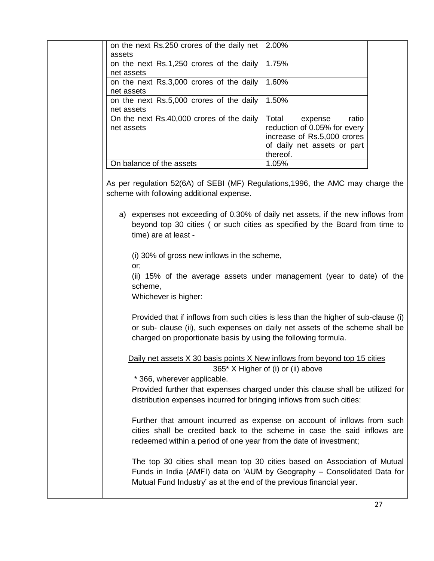| on the next Rs.250 crores of the daily net   2.00% |                              |
|----------------------------------------------------|------------------------------|
| assets                                             |                              |
| on the next Rs.1,250 crores of the daily           | 1.75%                        |
| net assets                                         |                              |
| on the next Rs.3,000 crores of the daily           | 1.60%                        |
| net assets                                         |                              |
| on the next Rs.5,000 crores of the daily           | 1.50%                        |
| net assets                                         |                              |
| On the next Rs.40,000 crores of the daily          | Total<br>ratio<br>expense    |
| net assets                                         | reduction of 0.05% for every |
|                                                    | increase of Rs.5,000 crores  |
|                                                    | of daily net assets or part  |
|                                                    | thereof.                     |
|                                                    |                              |
| On balance of the assets                           | 1.05%                        |

As per regulation 52(6A) of SEBI (MF) Regulations,1996, the AMC may charge the scheme with following additional expense.

a) expenses not exceeding of 0.30% of daily net assets, if the new inflows from beyond top 30 cities ( or such cities as specified by the Board from time to time) are at least -

(i) 30% of gross new inflows in the scheme,

or;

(ii) 15% of the average assets under management (year to date) of the scheme,

Whichever is higher:

Provided that if inflows from such cities is less than the higher of sub-clause (i) or sub- clause (ii), such expenses on daily net assets of the scheme shall be charged on proportionate basis by using the following formula.

Daily net assets X 30 basis points X New inflows from beyond top 15 cities

365\* X Higher of (i) or (ii) above

\* 366, wherever applicable.

Provided further that expenses charged under this clause shall be utilized for distribution expenses incurred for bringing inflows from such cities:

Further that amount incurred as expense on account of inflows from such cities shall be credited back to the scheme in case the said inflows are redeemed within a period of one year from the date of investment;

The top 30 cities shall mean top 30 cities based on Association of Mutual Funds in India (AMFI) data on 'AUM by Geography – Consolidated Data for Mutual Fund Industry' as at the end of the previous financial year.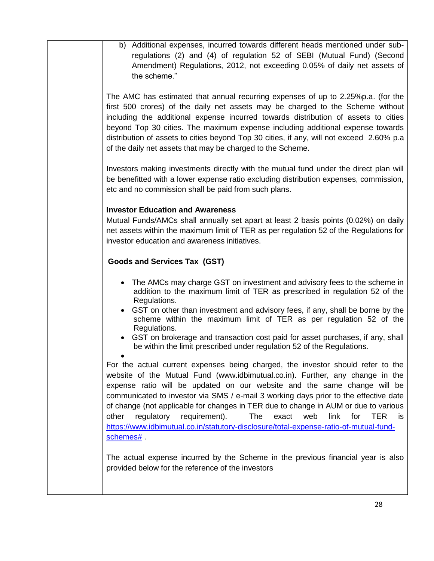b) Additional expenses, incurred towards different heads mentioned under subregulations (2) and (4) of regulation 52 of SEBI (Mutual Fund) (Second Amendment) Regulations, 2012, not exceeding 0.05% of daily net assets of the scheme."

The AMC has estimated that annual recurring expenses of up to 2.25%p.a. (for the first 500 crores) of the daily net assets may be charged to the Scheme without including the additional expense incurred towards distribution of assets to cities beyond Top 30 cities. The maximum expense including additional expense towards distribution of assets to cities beyond Top 30 cities, if any, will not exceed 2.60% p.a of the daily net assets that may be charged to the Scheme.

Investors making investments directly with the mutual fund under the direct plan will be benefitted with a lower expense ratio excluding distribution expenses, commission, etc and no commission shall be paid from such plans.

## **Investor Education and Awareness**

Mutual Funds/AMCs shall annually set apart at least 2 basis points (0.02%) on daily net assets within the maximum limit of TER as per regulation 52 of the Regulations for investor education and awareness initiatives.

# **Goods and Services Tax (GST)**

- The AMCs may charge GST on investment and advisory fees to the scheme in addition to the maximum limit of TER as prescribed in regulation 52 of the Regulations.
- GST on other than investment and advisory fees, if any, shall be borne by the scheme within the maximum limit of TER as per regulation 52 of the Regulations.
- GST on brokerage and transaction cost paid for asset purchases, if any, shall be within the limit prescribed under regulation 52 of the Regulations.

 $\bullet$ For the actual current expenses being charged, the investor should refer to the website of the Mutual Fund (www.idbimutual.co.in). Further, any change in the expense ratio will be updated on our website and the same change will be communicated to investor via SMS / e-mail 3 working days prior to the effective date of change (not applicable for changes in TER due to change in AUM or due to various other regulatory requirement). The exact web link for TER is [https://www.idbimutual.co.in/statutory-disclosure/total-expense-ratio-of-mutual-fund](https://www.idbimutual.co.in/statutory-disclosure/total-expense-ratio-of-mutual-fund-schemes)[schemes#](https://www.idbimutual.co.in/statutory-disclosure/total-expense-ratio-of-mutual-fund-schemes) .

The actual expense incurred by the Scheme in the previous financial year is also provided below for the reference of the investors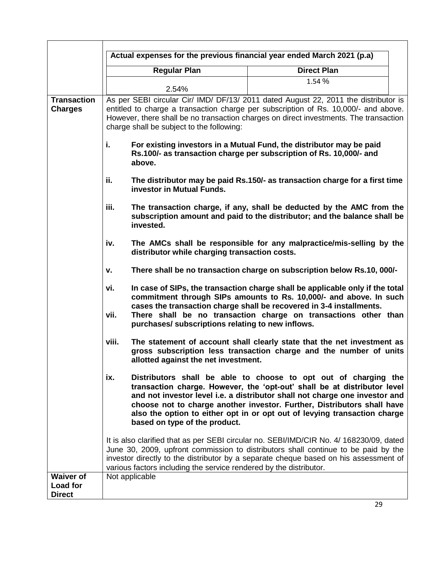|                                      | Actual expenses for the previous financial year ended March 2021 (p.a) |                                                                                                                                                                                                                                                                                                                                                                                    |  |
|--------------------------------------|------------------------------------------------------------------------|------------------------------------------------------------------------------------------------------------------------------------------------------------------------------------------------------------------------------------------------------------------------------------------------------------------------------------------------------------------------------------|--|
|                                      | <b>Regular Plan</b>                                                    | <b>Direct Plan</b>                                                                                                                                                                                                                                                                                                                                                                 |  |
|                                      |                                                                        | 1.54 %                                                                                                                                                                                                                                                                                                                                                                             |  |
|                                      | 2.54%                                                                  |                                                                                                                                                                                                                                                                                                                                                                                    |  |
| <b>Transaction</b><br><b>Charges</b> |                                                                        | As per SEBI circular Cir/ IMD/ DF/13/ 2011 dated August 22, 2011 the distributor is<br>entitled to charge a transaction charge per subscription of Rs. 10,000/- and above.                                                                                                                                                                                                         |  |
|                                      |                                                                        | However, there shall be no transaction charges on direct investments. The transaction                                                                                                                                                                                                                                                                                              |  |
|                                      | charge shall be subject to the following:                              |                                                                                                                                                                                                                                                                                                                                                                                    |  |
|                                      | i.<br>above.                                                           | For existing investors in a Mutual Fund, the distributor may be paid<br>Rs.100/- as transaction charge per subscription of Rs. 10,000/- and                                                                                                                                                                                                                                        |  |
|                                      | ii.<br>investor in Mutual Funds.                                       | The distributor may be paid Rs.150/- as transaction charge for a first time                                                                                                                                                                                                                                                                                                        |  |
|                                      | iii.<br>invested.                                                      | The transaction charge, if any, shall be deducted by the AMC from the<br>subscription amount and paid to the distributor; and the balance shall be                                                                                                                                                                                                                                 |  |
|                                      | iv.<br>distributor while charging transaction costs.                   | The AMCs shall be responsible for any malpractice/mis-selling by the                                                                                                                                                                                                                                                                                                               |  |
|                                      | v.                                                                     | There shall be no transaction charge on subscription below Rs.10, 000/-                                                                                                                                                                                                                                                                                                            |  |
|                                      | vi.<br>vii.                                                            | In case of SIPs, the transaction charge shall be applicable only if the total<br>commitment through SIPs amounts to Rs. 10,000/- and above. In such<br>cases the transaction charge shall be recovered in 3-4 installments.<br>There shall be no transaction charge on transactions other than                                                                                     |  |
|                                      | purchases/ subscriptions relating to new inflows.                      |                                                                                                                                                                                                                                                                                                                                                                                    |  |
|                                      | viii.<br>allotted against the net investment.                          | The statement of account shall clearly state that the net investment as<br>gross subscription less transaction charge and the number of units                                                                                                                                                                                                                                      |  |
|                                      | ix.<br>based on type of the product.                                   | Distributors shall be able to choose to opt out of charging the<br>transaction charge. However, the 'opt-out' shall be at distributor level<br>and not investor level i.e. a distributor shall not charge one investor and<br>choose not to charge another investor. Further, Distributors shall have<br>also the option to either opt in or opt out of levying transaction charge |  |
|                                      | various factors including the service rendered by the distributor.     | It is also clarified that as per SEBI circular no. SEBI/IMD/CIR No. 4/168230/09, dated<br>June 30, 2009, upfront commission to distributors shall continue to be paid by the<br>investor directly to the distributor by a separate cheque based on his assessment of                                                                                                               |  |
| <b>Waiver of</b><br>Load for         | Not applicable                                                         |                                                                                                                                                                                                                                                                                                                                                                                    |  |
| <b>Direct</b>                        |                                                                        |                                                                                                                                                                                                                                                                                                                                                                                    |  |
|                                      |                                                                        | 29                                                                                                                                                                                                                                                                                                                                                                                 |  |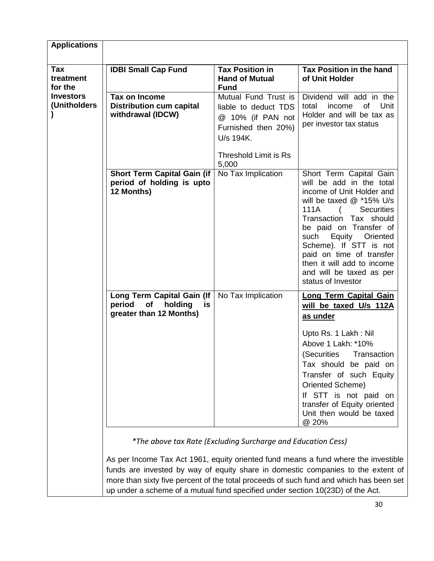| <b>Applications</b>                |                                                                                                                                                                                                                                                                                                                                                    |                                                                                                                                         |                                                                                                                                                                                                                                                                                                                                                                   |
|------------------------------------|----------------------------------------------------------------------------------------------------------------------------------------------------------------------------------------------------------------------------------------------------------------------------------------------------------------------------------------------------|-----------------------------------------------------------------------------------------------------------------------------------------|-------------------------------------------------------------------------------------------------------------------------------------------------------------------------------------------------------------------------------------------------------------------------------------------------------------------------------------------------------------------|
| <b>Tax</b><br>treatment<br>for the | <b>IDBI Small Cap Fund</b>                                                                                                                                                                                                                                                                                                                         | <b>Tax Position in</b><br><b>Hand of Mutual</b><br><b>Fund</b>                                                                          | Tax Position in the hand<br>of Unit Holder                                                                                                                                                                                                                                                                                                                        |
| <b>Investors</b><br>(Unitholders)  | Tax on Income<br><b>Distribution cum capital</b><br>withdrawal (IDCW)                                                                                                                                                                                                                                                                              | Mutual Fund Trust is<br>liable to deduct TDS<br>@ 10% (if PAN not<br>Furnished then 20%)<br>U/s 194K.<br>Threshold Limit is Rs<br>5,000 | Dividend will add in the<br>of<br>Unit<br>total<br>income<br>Holder and will be tax as<br>per investor tax status                                                                                                                                                                                                                                                 |
|                                    | <b>Short Term Capital Gain (if</b><br>period of holding is upto<br>12 Months)                                                                                                                                                                                                                                                                      | No Tax Implication                                                                                                                      | Short Term Capital Gain<br>will be add in the total<br>income of Unit Holder and<br>will be taxed @ *15% U/s<br>111A<br><b>Securities</b><br>Transaction Tax should<br>be paid on Transfer of<br>Equity<br>such<br>Oriented<br>Scheme). If STT is not<br>paid on time of transfer<br>then it will add to income<br>and will be taxed as per<br>status of Investor |
|                                    | Long Term Capital Gain (If<br>period<br>оf<br>holding<br>is<br>greater than 12 Months)                                                                                                                                                                                                                                                             | No Tax Implication                                                                                                                      | <b>Long Term Capital Gain</b><br>will be taxed U/s 112A<br>as under<br>Upto Rs. 1 Lakh: Nil<br>Above 1 Lakh: *10%<br>(Securities<br>Transaction<br>Tax should be paid on<br>Transfer of such Equity<br>Oriented Scheme)<br>If STT is not paid on<br>transfer of Equity oriented<br>Unit then would be taxed<br>@ 20%                                              |
|                                    | As per Income Tax Act 1961, equity oriented fund means a fund where the investible<br>funds are invested by way of equity share in domestic companies to the extent of<br>more than sixty five percent of the total proceeds of such fund and which has been set<br>up under a scheme of a mutual fund specified under section 10(23D) of the Act. | *The above tax Rate (Excluding Surcharge and Education Cess)                                                                            |                                                                                                                                                                                                                                                                                                                                                                   |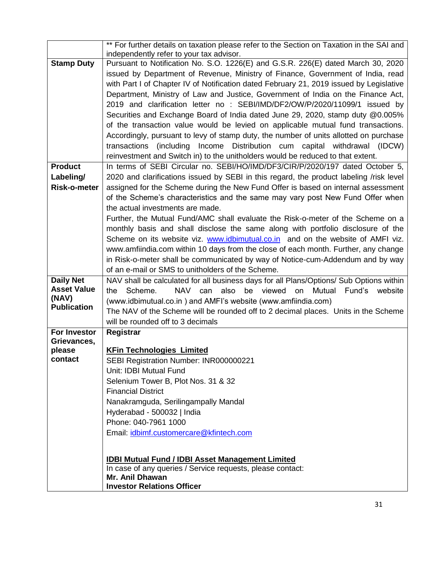|                                        | ** For further details on taxation please refer to the Section on Taxation in the SAI and                                    |  |  |
|----------------------------------------|------------------------------------------------------------------------------------------------------------------------------|--|--|
|                                        | independently refer to your tax advisor.<br>Pursuant to Notification No. S.O. 1226(E) and G.S.R. 226(E) dated March 30, 2020 |  |  |
| <b>Stamp Duty</b>                      |                                                                                                                              |  |  |
|                                        | issued by Department of Revenue, Ministry of Finance, Government of India, read                                              |  |  |
|                                        | with Part I of Chapter IV of Notification dated February 21, 2019 issued by Legislative                                      |  |  |
|                                        | Department, Ministry of Law and Justice, Government of India on the Finance Act,                                             |  |  |
|                                        | 2019 and clarification letter no: SEBI/IMD/DF2/OW/P/2020/11099/1 issued by                                                   |  |  |
|                                        | Securities and Exchange Board of India dated June 29, 2020, stamp duty @0.005%                                               |  |  |
|                                        | of the transaction value would be levied on applicable mutual fund transactions.                                             |  |  |
|                                        | Accordingly, pursuant to levy of stamp duty, the number of units allotted on purchase                                        |  |  |
|                                        | transactions (including Income Distribution cum capital withdrawal (IDCW)                                                    |  |  |
|                                        | reinvestment and Switch in) to the unitholders would be reduced to that extent.                                              |  |  |
| <b>Product</b>                         | In terms of SEBI Circular no. SEBI/HO/IMD/DF3/CIR/P/2020/197 dated October 5,                                                |  |  |
| Labeling/                              | 2020 and clarifications issued by SEBI in this regard, the product labeling /risk level                                      |  |  |
| <b>Risk-o-meter</b>                    | assigned for the Scheme during the New Fund Offer is based on internal assessment                                            |  |  |
|                                        | of the Scheme's characteristics and the same may vary post New Fund Offer when                                               |  |  |
|                                        | the actual investments are made.                                                                                             |  |  |
|                                        | Further, the Mutual Fund/AMC shall evaluate the Risk-o-meter of the Scheme on a                                              |  |  |
|                                        | monthly basis and shall disclose the same along with portfolio disclosure of the                                             |  |  |
|                                        | Scheme on its website viz. www.idbimutual.co.in and on the website of AMFI viz.                                              |  |  |
|                                        | www.amfiindia.com within 10 days from the close of each month. Further, any change                                           |  |  |
|                                        | in Risk-o-meter shall be communicated by way of Notice-cum-Addendum and by way                                               |  |  |
|                                        | of an e-mail or SMS to unitholders of the Scheme.                                                                            |  |  |
| <b>Daily Net</b><br><b>Asset Value</b> | NAV shall be calculated for all business days for all Plans/Options/ Sub Options within<br>NAV can                           |  |  |
| (NAV)                                  | be viewed on Mutual Fund's<br>Scheme.<br>also<br>website<br>the                                                              |  |  |
| <b>Publication</b>                     | (www.idbimutual.co.in) and AMFI's website (www.amfiindia.com)                                                                |  |  |
|                                        | The NAV of the Scheme will be rounded off to 2 decimal places. Units in the Scheme<br>will be rounded off to 3 decimals      |  |  |
| For Investor                           |                                                                                                                              |  |  |
| Grievances,                            | Registrar                                                                                                                    |  |  |
| please                                 | <b>KFin Technologies Limited</b>                                                                                             |  |  |
| contact                                | SEBI Registration Number: INR000000221                                                                                       |  |  |
|                                        | Unit: IDBI Mutual Fund                                                                                                       |  |  |
|                                        | Selenium Tower B, Plot Nos. 31 & 32                                                                                          |  |  |
|                                        | <b>Financial District</b>                                                                                                    |  |  |
|                                        | Nanakramguda, Serilingampally Mandal                                                                                         |  |  |
|                                        | Hyderabad - 500032   India                                                                                                   |  |  |
|                                        | Phone: 040-7961 1000                                                                                                         |  |  |
|                                        | Email: idbimf.customercare@kfintech.com                                                                                      |  |  |
|                                        |                                                                                                                              |  |  |
|                                        | <b>IDBI Mutual Fund / IDBI Asset Management Limited</b>                                                                      |  |  |
|                                        | In case of any queries / Service requests, please contact:                                                                   |  |  |
|                                        | Mr. Anil Dhawan                                                                                                              |  |  |
|                                        | <b>Investor Relations Officer</b>                                                                                            |  |  |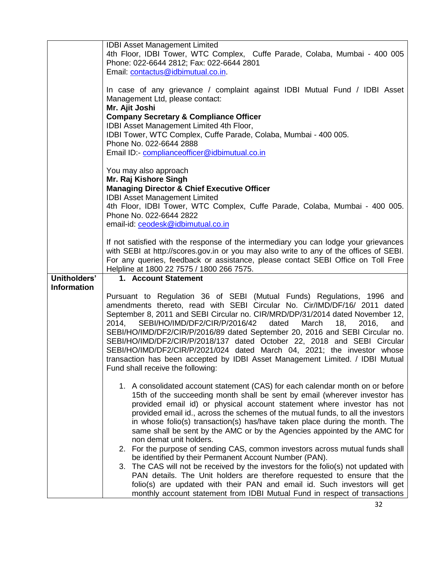|                    | <b>IDBI Asset Management Limited</b><br>4th Floor, IDBI Tower, WTC Complex, Cuffe Parade, Colaba, Mumbai - 400 005                                                                                                                                                                                                                                                                                                                                                                                                                                                                                                                                                                  |  |
|--------------------|-------------------------------------------------------------------------------------------------------------------------------------------------------------------------------------------------------------------------------------------------------------------------------------------------------------------------------------------------------------------------------------------------------------------------------------------------------------------------------------------------------------------------------------------------------------------------------------------------------------------------------------------------------------------------------------|--|
|                    | Phone: 022-6644 2812; Fax: 022-6644 2801<br>Email: contactus@idbimutual.co.in.                                                                                                                                                                                                                                                                                                                                                                                                                                                                                                                                                                                                      |  |
|                    | In case of any grievance / complaint against IDBI Mutual Fund / IDBI Asset<br>Management Ltd, please contact:<br>Mr. Ajit Joshi                                                                                                                                                                                                                                                                                                                                                                                                                                                                                                                                                     |  |
|                    | <b>Company Secretary &amp; Compliance Officer</b><br>IDBI Asset Management Limited 4th Floor,                                                                                                                                                                                                                                                                                                                                                                                                                                                                                                                                                                                       |  |
|                    | IDBI Tower, WTC Complex, Cuffe Parade, Colaba, Mumbai - 400 005.                                                                                                                                                                                                                                                                                                                                                                                                                                                                                                                                                                                                                    |  |
|                    | Phone No. 022-6644 2888<br>Email ID:- compliance officer@idbimutual.co.in                                                                                                                                                                                                                                                                                                                                                                                                                                                                                                                                                                                                           |  |
|                    | You may also approach                                                                                                                                                                                                                                                                                                                                                                                                                                                                                                                                                                                                                                                               |  |
|                    | Mr. Raj Kishore Singh                                                                                                                                                                                                                                                                                                                                                                                                                                                                                                                                                                                                                                                               |  |
|                    | <b>Managing Director &amp; Chief Executive Officer</b><br><b>IDBI Asset Management Limited</b>                                                                                                                                                                                                                                                                                                                                                                                                                                                                                                                                                                                      |  |
|                    | 4th Floor, IDBI Tower, WTC Complex, Cuffe Parade, Colaba, Mumbai - 400 005.<br>Phone No. 022-6644 2822                                                                                                                                                                                                                                                                                                                                                                                                                                                                                                                                                                              |  |
|                    | email-id: ceodesk@idbimutual.co.in                                                                                                                                                                                                                                                                                                                                                                                                                                                                                                                                                                                                                                                  |  |
|                    | If not satisfied with the response of the intermediary you can lodge your grievances<br>with SEBI at http://scores.gov.in or you may also write to any of the offices of SEBI.<br>For any queries, feedback or assistance, please contact SEBI Office on Toll Free<br>Helpline at 1800 22 7575 / 1800 266 7575.                                                                                                                                                                                                                                                                                                                                                                     |  |
| Unitholders'       | 1. Account Statement                                                                                                                                                                                                                                                                                                                                                                                                                                                                                                                                                                                                                                                                |  |
| <b>Information</b> | Pursuant to Regulation 36 of SEBI (Mutual Funds) Regulations, 1996 and<br>amendments thereto, read with SEBI Circular No. Cir/IMD/DF/16/ 2011 dated<br>September 8, 2011 and SEBI Circular no. CIR/MRD/DP/31/2014 dated November 12,<br>SEBI/HO/IMD/DF2/CIR/P/2016/42<br>dated<br>March<br>2014.<br>18,<br>2016,<br>and<br>SEBI/HO/IMD/DF2/CIR/P/2016/89 dated September 20, 2016 and SEBI Circular no.<br>SEBI/HO/IMD/DF2/CIR/P/2018/137 dated October 22, 2018 and SEBI Circular<br>SEBI/HO/IMD/DF2/CIR/P/2021/024 dated March 04, 2021; the investor whose<br>transaction has been accepted by IDBI Asset Management Limited. / IDBI Mutual<br>Fund shall receive the following: |  |
|                    | 1. A consolidated account statement (CAS) for each calendar month on or before<br>15th of the succeeding month shall be sent by email (wherever investor has<br>provided email id) or physical account statement where investor has not<br>provided email id., across the schemes of the mutual funds, to all the investors<br>in whose folio(s) transaction(s) has/have taken place during the month. The<br>same shall be sent by the AMC or by the Agencies appointed by the AMC for<br>non demat unit holders.                                                                                                                                                                  |  |
|                    | 2. For the purpose of sending CAS, common investors across mutual funds shall<br>be identified by their Permanent Account Number (PAN).                                                                                                                                                                                                                                                                                                                                                                                                                                                                                                                                             |  |
|                    | 3. The CAS will not be received by the investors for the folio(s) not updated with<br>PAN details. The Unit holders are therefore requested to ensure that the<br>folio(s) are updated with their PAN and email id. Such investors will get<br>monthly account statement from IDBI Mutual Fund in respect of transactions                                                                                                                                                                                                                                                                                                                                                           |  |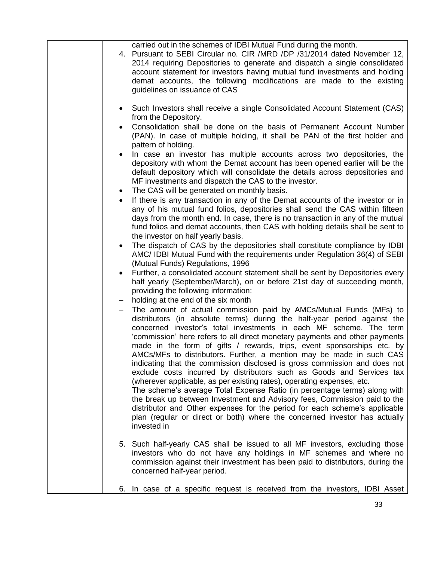|                        | carried out in the schemes of IDBI Mutual Fund during the month.<br>4. Pursuant to SEBI Circular no. CIR / MRD / DP / 31/2014 dated November 12,<br>2014 requiring Depositories to generate and dispatch a single consolidated<br>account statement for investors having mutual fund investments and holding<br>demat accounts, the following modifications are made to the existing<br>guidelines on issuance of CAS                                                                                                                                                                                                                                                                                                                                                                                                                                                                                                                                                                                                      |
|------------------------|----------------------------------------------------------------------------------------------------------------------------------------------------------------------------------------------------------------------------------------------------------------------------------------------------------------------------------------------------------------------------------------------------------------------------------------------------------------------------------------------------------------------------------------------------------------------------------------------------------------------------------------------------------------------------------------------------------------------------------------------------------------------------------------------------------------------------------------------------------------------------------------------------------------------------------------------------------------------------------------------------------------------------|
| $\bullet$              | Such Investors shall receive a single Consolidated Account Statement (CAS)<br>from the Depository.<br>Consolidation shall be done on the basis of Permanent Account Number<br>(PAN). In case of multiple holding, it shall be PAN of the first holder and                                                                                                                                                                                                                                                                                                                                                                                                                                                                                                                                                                                                                                                                                                                                                                  |
| $\bullet$              | pattern of holding.<br>In case an investor has multiple accounts across two depositories, the<br>depository with whom the Demat account has been opened earlier will be the<br>default depository which will consolidate the details across depositories and<br>MF investments and dispatch the CAS to the investor.                                                                                                                                                                                                                                                                                                                                                                                                                                                                                                                                                                                                                                                                                                       |
| $\bullet$<br>$\bullet$ | The CAS will be generated on monthly basis.<br>If there is any transaction in any of the Demat accounts of the investor or in<br>any of his mutual fund folios, depositories shall send the CAS within fifteen<br>days from the month end. In case, there is no transaction in any of the mutual<br>fund folios and demat accounts, then CAS with holding details shall be sent to                                                                                                                                                                                                                                                                                                                                                                                                                                                                                                                                                                                                                                         |
| $\bullet$              | the investor on half yearly basis.<br>The dispatch of CAS by the depositories shall constitute compliance by IDBI<br>AMC/ IDBI Mutual Fund with the requirements under Regulation 36(4) of SEBI<br>(Mutual Funds) Regulations, 1996                                                                                                                                                                                                                                                                                                                                                                                                                                                                                                                                                                                                                                                                                                                                                                                        |
| $\bullet$              | Further, a consolidated account statement shall be sent by Depositories every<br>half yearly (September/March), on or before 21st day of succeeding month,<br>providing the following information:<br>holding at the end of the six month                                                                                                                                                                                                                                                                                                                                                                                                                                                                                                                                                                                                                                                                                                                                                                                  |
|                        | The amount of actual commission paid by AMCs/Mutual Funds (MFs) to<br>distributors (in absolute terms) during the half-year period against the<br>concerned investor's total investments in each MF scheme. The term<br>'commission' here refers to all direct monetary payments and other payments<br>made in the form of gifts / rewards, trips, event sponsorships etc. by<br>AMCs/MFs to distributors. Further, a mention may be made in such CAS<br>indicating that the commission disclosed is gross commission and does not<br>exclude costs incurred by distributors such as Goods and Services tax<br>(wherever applicable, as per existing rates), operating expenses, etc.<br>The scheme's average Total Expense Ratio (in percentage terms) along with<br>the break up between Investment and Advisory fees, Commission paid to the<br>distributor and Other expenses for the period for each scheme's applicable<br>plan (regular or direct or both) where the concerned investor has actually<br>invested in |
|                        | 5. Such half-yearly CAS shall be issued to all MF investors, excluding those<br>investors who do not have any holdings in MF schemes and where no<br>commission against their investment has been paid to distributors, during the<br>concerned half-year period.                                                                                                                                                                                                                                                                                                                                                                                                                                                                                                                                                                                                                                                                                                                                                          |
| 6.                     | In case of a specific request is received from the investors, IDBI Asset                                                                                                                                                                                                                                                                                                                                                                                                                                                                                                                                                                                                                                                                                                                                                                                                                                                                                                                                                   |
|                        |                                                                                                                                                                                                                                                                                                                                                                                                                                                                                                                                                                                                                                                                                                                                                                                                                                                                                                                                                                                                                            |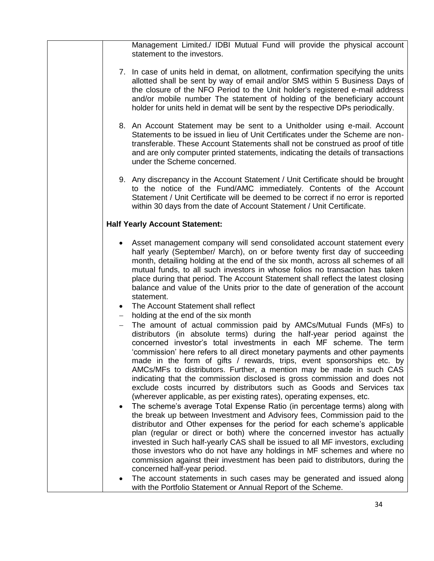Management Limited./ IDBI Mutual Fund will provide the physical account statement to the investors.

- 7. In case of units held in demat, on allotment, confirmation specifying the units allotted shall be sent by way of email and/or SMS within 5 Business Days of the closure of the NFO Period to the Unit holder's registered e-mail address and/or mobile number The statement of holding of the beneficiary account holder for units held in demat will be sent by the respective DPs periodically.
- 8. An Account Statement may be sent to a Unitholder using e-mail. Account Statements to be issued in lieu of Unit Certificates under the Scheme are nontransferable. These Account Statements shall not be construed as proof of title and are only computer printed statements, indicating the details of transactions under the Scheme concerned.
- 9. Any discrepancy in the Account Statement / Unit Certificate should be brought to the notice of the Fund/AMC immediately. Contents of the Account Statement / Unit Certificate will be deemed to be correct if no error is reported within 30 days from the date of Account Statement / Unit Certificate.

## **Half Yearly Account Statement:**

- Asset management company will send consolidated account statement every half yearly (September/ March), on or before twenty first day of succeeding month, detailing holding at the end of the six month, across all schemes of all mutual funds, to all such investors in whose folios no transaction has taken place during that period. The Account Statement shall reflect the latest closing balance and value of the Units prior to the date of generation of the account statement.
- The Account Statement shall reflect
- holding at the end of the six month
- The amount of actual commission paid by AMCs/Mutual Funds (MFs) to distributors (in absolute terms) during the half-year period against the concerned investor's total investments in each MF scheme. The term 'commission' here refers to all direct monetary payments and other payments made in the form of gifts / rewards, trips, event sponsorships etc. by AMCs/MFs to distributors. Further, a mention may be made in such CAS indicating that the commission disclosed is gross commission and does not exclude costs incurred by distributors such as Goods and Services tax (wherever applicable, as per existing rates), operating expenses, etc.
- The scheme's average Total Expense Ratio (in percentage terms) along with the break up between Investment and Advisory fees, Commission paid to the distributor and Other expenses for the period for each scheme's applicable plan (regular or direct or both) where the concerned investor has actually invested in Such half-yearly CAS shall be issued to all MF investors, excluding those investors who do not have any holdings in MF schemes and where no commission against their investment has been paid to distributors, during the concerned half-year period.
- The account statements in such cases may be generated and issued along with the Portfolio Statement or Annual Report of the Scheme.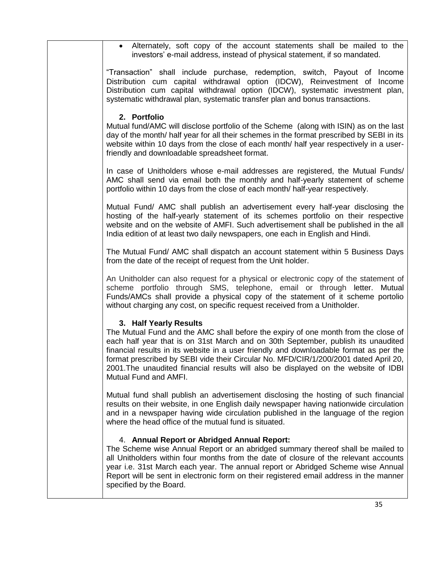Alternately, soft copy of the account statements shall be mailed to the investors' e-mail address, instead of physical statement, if so mandated.

"Transaction" shall include purchase, redemption, switch, Payout of Income Distribution cum capital withdrawal option (IDCW), Reinvestment of Income Distribution cum capital withdrawal option (IDCW), systematic investment plan, systematic withdrawal plan, systematic transfer plan and bonus transactions.

## **2. Portfolio**

Mutual fund/AMC will disclose portfolio of the Scheme (along with ISIN) as on the last day of the month/ half year for all their schemes in the format prescribed by SEBI in its website within 10 days from the close of each month/ half year respectively in a userfriendly and downloadable spreadsheet format.

In case of Unitholders whose e-mail addresses are registered, the Mutual Funds/ AMC shall send via email both the monthly and half-yearly statement of scheme portfolio within 10 days from the close of each month/ half-year respectively.

Mutual Fund/ AMC shall publish an advertisement every half-year disclosing the hosting of the half-yearly statement of its schemes portfolio on their respective website and on the website of AMFI. Such advertisement shall be published in the all India edition of at least two daily newspapers, one each in English and Hindi.

The Mutual Fund/ AMC shall dispatch an account statement within 5 Business Days from the date of the receipt of request from the Unit holder.

An Unitholder can also request for a physical or electronic copy of the statement of scheme portfolio through SMS, telephone, email or through letter. Mutual Funds/AMCs shall provide a physical copy of the statement of it scheme portolio without charging any cost, on specific request received from a Unitholder.

# **3. Half Yearly Results**

The Mutual Fund and the AMC shall before the expiry of one month from the close of each half year that is on 31st March and on 30th September, publish its unaudited financial results in its website in a user friendly and downloadable format as per the format prescribed by SEBI vide their Circular No. MFD/CIR/1/200/2001 dated April 20, 2001.The unaudited financial results will also be displayed on the website of IDBI Mutual Fund and AMFI.

Mutual fund shall publish an advertisement disclosing the hosting of such financial results on their website, in one English daily newspaper having nationwide circulation and in a newspaper having wide circulation published in the language of the region where the head office of the mutual fund is situated.

## 4. **Annual Report or Abridged Annual Report:**

The Scheme wise Annual Report or an abridged summary thereof shall be mailed to all Unitholders within four months from the date of closure of the relevant accounts year i.e. 31st March each year. The annual report or Abridged Scheme wise Annual Report will be sent in electronic form on their registered email address in the manner specified by the Board.